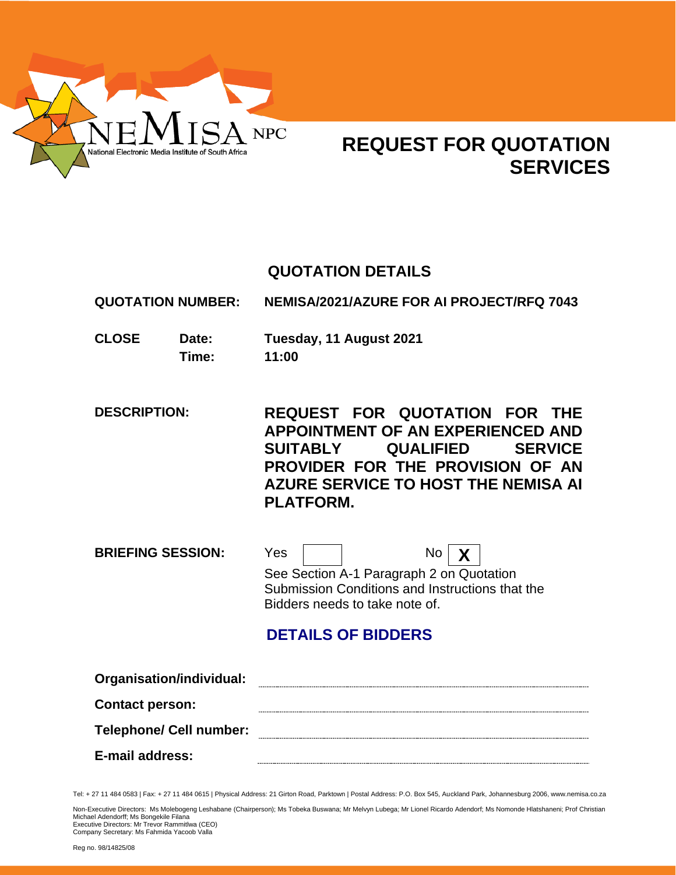

# **REQUEST FOR QUOTATION SERVICES**

## **QUOTATION DETAILS**

**QUOTATION NUMBER: NEMISA/2021/AZURE FOR AI PROJECT/RFQ 7043**

**CLOSE Date: Tuesday, 11 August 2021 Time: 11:00**

**DESCRIPTION: REQUEST FOR QUOTATION FOR THE APPOINTMENT OF AN EXPERIENCED AND SUITABLY QUALIFIED SERVICE PROVIDER FOR THE PROVISION OF AN AZURE SERVICE TO HOST THE NEMISA AI PLATFORM.**

**BRIEFING SESSION:** Yes No **X** See Section A-1 Paragraph 2 on Quotation Submission Conditions and Instructions that the Bidders needs to take note of.

## **DETAILS OF BIDDERS**

| Organisation/individual:       |  |
|--------------------------------|--|
| <b>Contact person:</b>         |  |
| <b>Telephone/ Cell number:</b> |  |
| E-mail address:                |  |

Tel: + 27 11 484 0583 | Fax: + 27 11 484 0615 | Physical Address: 21 Girton Road, Parktown | Postal Address: P.O. Box 545, Auckland Park, Johannesburg 2006, www.nemisa.co.za

Non-Executive Directors: Ms Molebogeng Leshabane (Chairperson); Ms Tobeka Buswana; Mr Melvyn Lubega; Mr Lionel Ricardo Adendorf; Ms Nomonde Hlatshaneni; Prof Christian<br>Michael Adendorff; Ms Bongekile Filana

Executive Directors: Mr Trevor Rammitlwa (CEO) Company Secretary: Ms Fahmida Yacoob Valla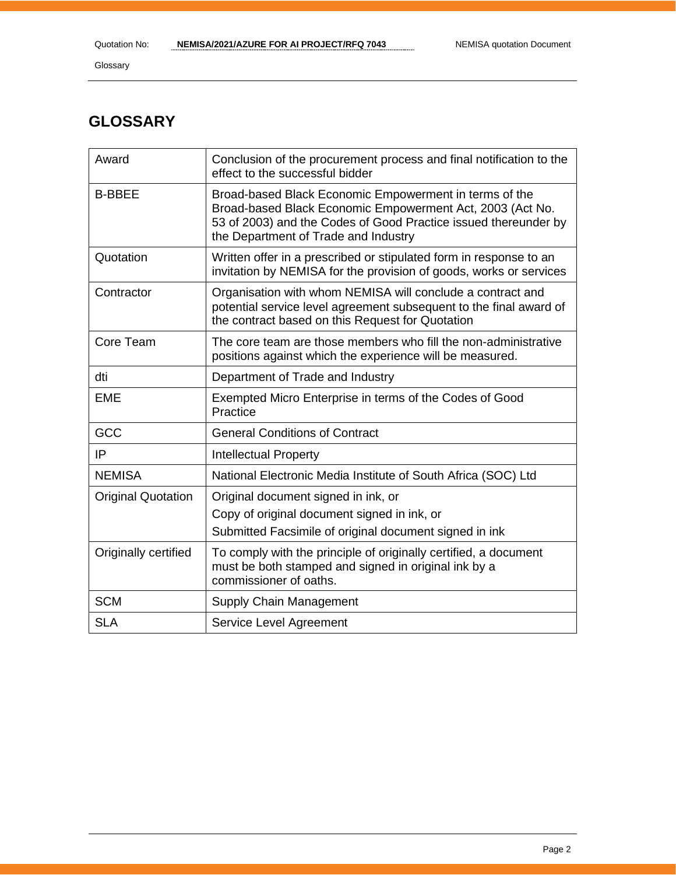Glossary

## **GLOSSARY**

| Award                     | Conclusion of the procurement process and final notification to the<br>effect to the successful bidder                                                                                                                         |
|---------------------------|--------------------------------------------------------------------------------------------------------------------------------------------------------------------------------------------------------------------------------|
| <b>B-BBEE</b>             | Broad-based Black Economic Empowerment in terms of the<br>Broad-based Black Economic Empowerment Act, 2003 (Act No.<br>53 of 2003) and the Codes of Good Practice issued thereunder by<br>the Department of Trade and Industry |
| Quotation                 | Written offer in a prescribed or stipulated form in response to an<br>invitation by NEMISA for the provision of goods, works or services                                                                                       |
| Contractor                | Organisation with whom NEMISA will conclude a contract and<br>potential service level agreement subsequent to the final award of<br>the contract based on this Request for Quotation                                           |
| Core Team                 | The core team are those members who fill the non-administrative<br>positions against which the experience will be measured.                                                                                                    |
| dti                       | Department of Trade and Industry                                                                                                                                                                                               |
| <b>EME</b>                | Exempted Micro Enterprise in terms of the Codes of Good<br>Practice                                                                                                                                                            |
| GCC                       | <b>General Conditions of Contract</b>                                                                                                                                                                                          |
| IP                        | <b>Intellectual Property</b>                                                                                                                                                                                                   |
| <b>NEMISA</b>             | National Electronic Media Institute of South Africa (SOC) Ltd                                                                                                                                                                  |
| <b>Original Quotation</b> | Original document signed in ink, or<br>Copy of original document signed in ink, or<br>Submitted Facsimile of original document signed in ink                                                                                   |
| Originally certified      | To comply with the principle of originally certified, a document<br>must be both stamped and signed in original ink by a<br>commissioner of oaths.                                                                             |
| <b>SCM</b>                | Supply Chain Management                                                                                                                                                                                                        |
| <b>SLA</b>                | Service Level Agreement                                                                                                                                                                                                        |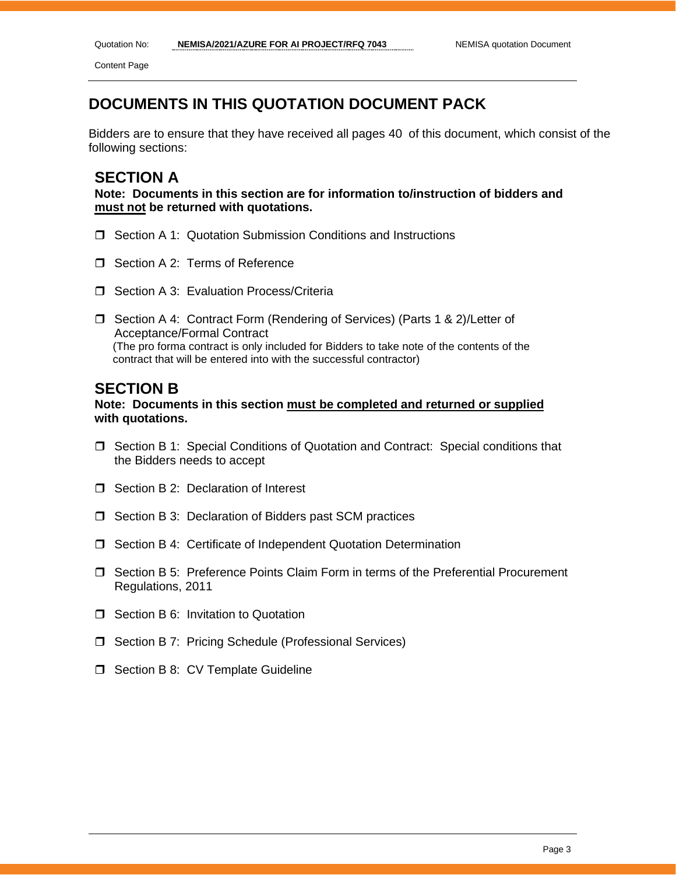Content Page

## **DOCUMENTS IN THIS QUOTATION DOCUMENT PACK**

Bidders are to ensure that they have received all pages 40 of this document, which consist of the following sections:

## **SECTION A**

**Note: Documents in this section are for information to/instruction of bidders and must not be returned with quotations.**

- **J** Section A 1: Quotation Submission Conditions and Instructions
- □ Section A 2: Terms of Reference
- □ Section A 3: Evaluation Process/Criteria
- □ Section A 4: Contract Form (Rendering of Services) (Parts 1 & 2)/Letter of Acceptance/Formal Contract (The pro forma contract is only included for Bidders to take note of the contents of the contract that will be entered into with the successful contractor)

## **SECTION B**

## **Note: Documents in this section must be completed and returned or supplied with quotations.**

- Section B 1: Special Conditions of Quotation and Contract: Special conditions that the Bidders needs to accept
- □ Section B 2: Declaration of Interest
- $\Box$  Section B 3: Declaration of Bidders past SCM practices
- □ Section B 4: Certificate of Independent Quotation Determination
- Section B 5: Preference Points Claim Form in terms of the Preferential Procurement Regulations, 2011
- **O** Section B 6: Invitation to Quotation
- □ Section B 7: Pricing Schedule (Professional Services)
- $\Box$  Section B 8: CV Template Guideline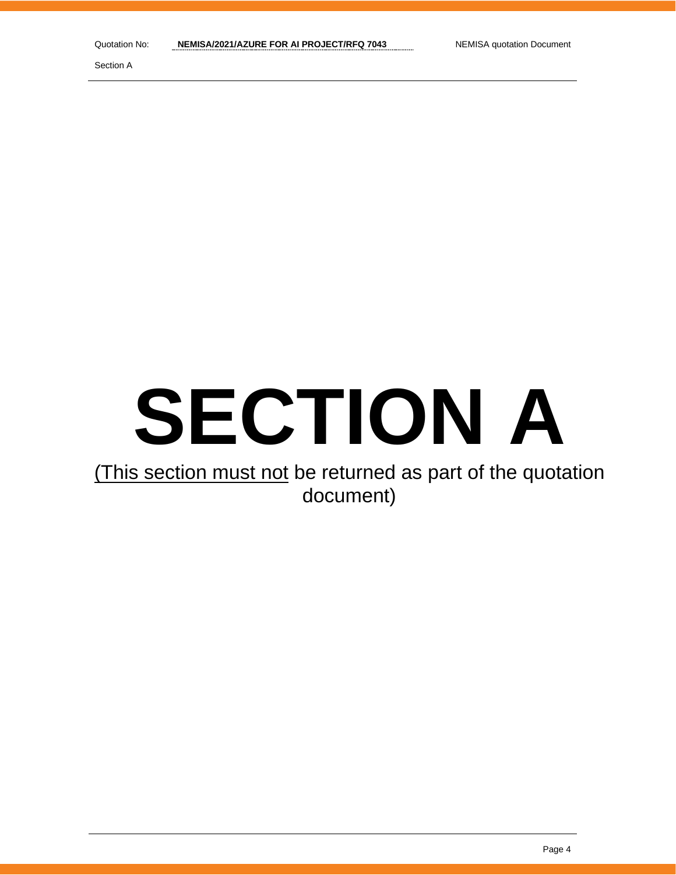Section A

# **SECTION A**

## (This section must not be returned as part of the quotation document)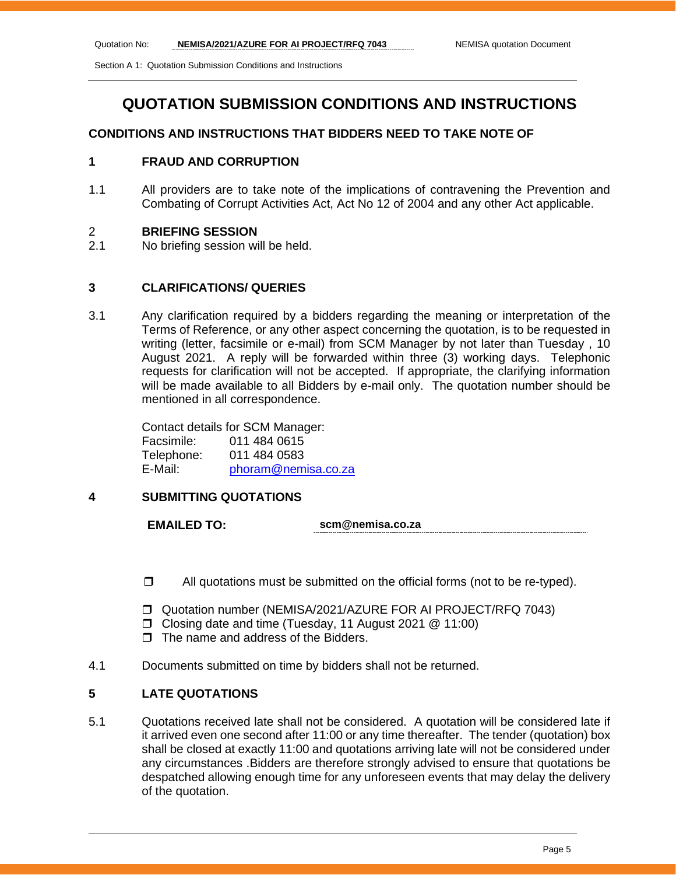Section A 1: Quotation Submission Conditions and Instructions

## **QUOTATION SUBMISSION CONDITIONS AND INSTRUCTIONS**

## **CONDITIONS AND INSTRUCTIONS THAT BIDDERS NEED TO TAKE NOTE OF**

#### **1 FRAUD AND CORRUPTION**

1.1 All providers are to take note of the implications of contravening the Prevention and Combating of Corrupt Activities Act, Act No 12 of 2004 and any other Act applicable.

#### 2 **BRIEFING SESSION**

2.1 No briefing session will be held.

## **3 CLARIFICATIONS/ QUERIES**

3.1 Any clarification required by a bidders regarding the meaning or interpretation of the Terms of Reference, or any other aspect concerning the quotation, is to be requested in writing (letter, facsimile or e-mail) from SCM Manager by not later than Tuesday , 10 August 2021. A reply will be forwarded within three (3) working days. Telephonic requests for clarification will not be accepted. If appropriate, the clarifying information will be made available to all Bidders by e-mail only. The quotation number should be mentioned in all correspondence.

Contact details for SCM Manager: Facsimile: 011 484 0615 Telephone: 011 484 0583 E-Mail: [phoram@nemisa.co.za](mailto:phoram@nemisa.co.za)

## **4 SUBMITTING QUOTATIONS**

**EMAILED TO: scm@nemisa.co.za**

- $\Box$  All quotations must be submitted on the official forms (not to be re-typed).
- Quotation number (NEMISA/2021/AZURE FOR AI PROJECT/RFQ 7043)
- □ Closing date and time (Tuesday, 11 August 2021 @ 11:00)
- $\Box$  The name and address of the Bidders.
- 4.1 Documents submitted on time by bidders shall not be returned.

## **5 LATE QUOTATIONS**

5.1 Quotations received late shall not be considered. A quotation will be considered late if it arrived even one second after 11:00 or any time thereafter. The tender (quotation) box shall be closed at exactly 11:00 and quotations arriving late will not be considered under any circumstances .Bidders are therefore strongly advised to ensure that quotations be despatched allowing enough time for any unforeseen events that may delay the delivery of the quotation.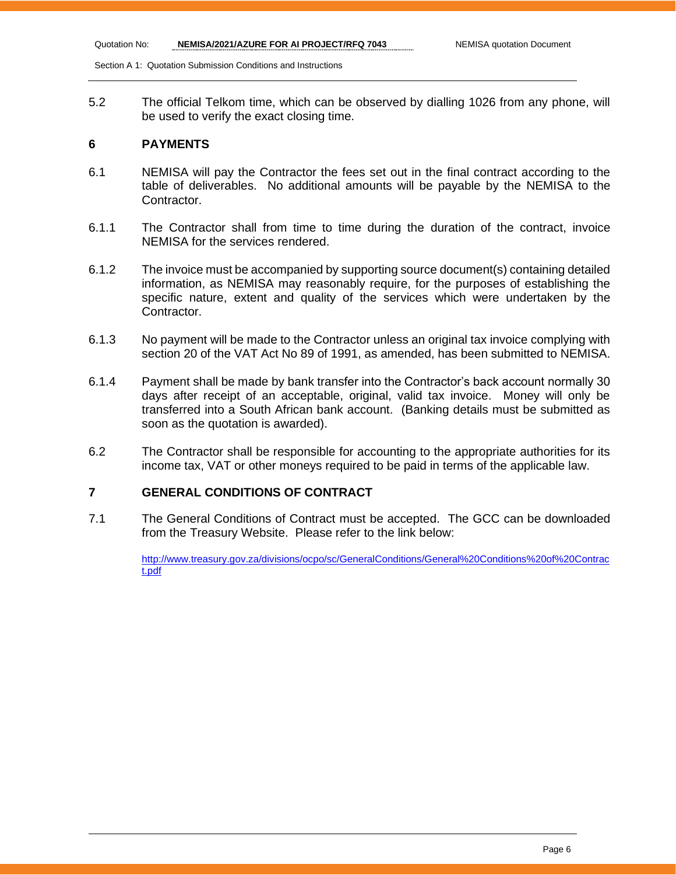Section A 1: Quotation Submission Conditions and Instructions

5.2 The official Telkom time, which can be observed by dialling 1026 from any phone, will be used to verify the exact closing time.

#### **6 PAYMENTS**

- 6.1 NEMISA will pay the Contractor the fees set out in the final contract according to the table of deliverables. No additional amounts will be payable by the NEMISA to the Contractor.
- 6.1.1 The Contractor shall from time to time during the duration of the contract, invoice NEMISA for the services rendered.
- 6.1.2 The invoice must be accompanied by supporting source document(s) containing detailed information, as NEMISA may reasonably require, for the purposes of establishing the specific nature, extent and quality of the services which were undertaken by the Contractor.
- 6.1.3 No payment will be made to the Contractor unless an original tax invoice complying with section 20 of the VAT Act No 89 of 1991, as amended, has been submitted to NEMISA.
- 6.1.4 Payment shall be made by bank transfer into the Contractor's back account normally 30 days after receipt of an acceptable, original, valid tax invoice. Money will only be transferred into a South African bank account. (Banking details must be submitted as soon as the quotation is awarded).
- 6.2 The Contractor shall be responsible for accounting to the appropriate authorities for its income tax, VAT or other moneys required to be paid in terms of the applicable law.

## **7 GENERAL CONDITIONS OF CONTRACT**

7.1 The General Conditions of Contract must be accepted. The GCC can be downloaded from the Treasury Website. Please refer to the link below:

> [http://www.treasury.gov.za/divisions/ocpo/sc/GeneralConditions/General%20Conditions%20of%20Contrac](http://www.treasury.gov.za/divisions/ocpo/sc/GeneralConditions/General%20Conditions%20of%20Contract.pdf) [t.pdf](http://www.treasury.gov.za/divisions/ocpo/sc/GeneralConditions/General%20Conditions%20of%20Contract.pdf)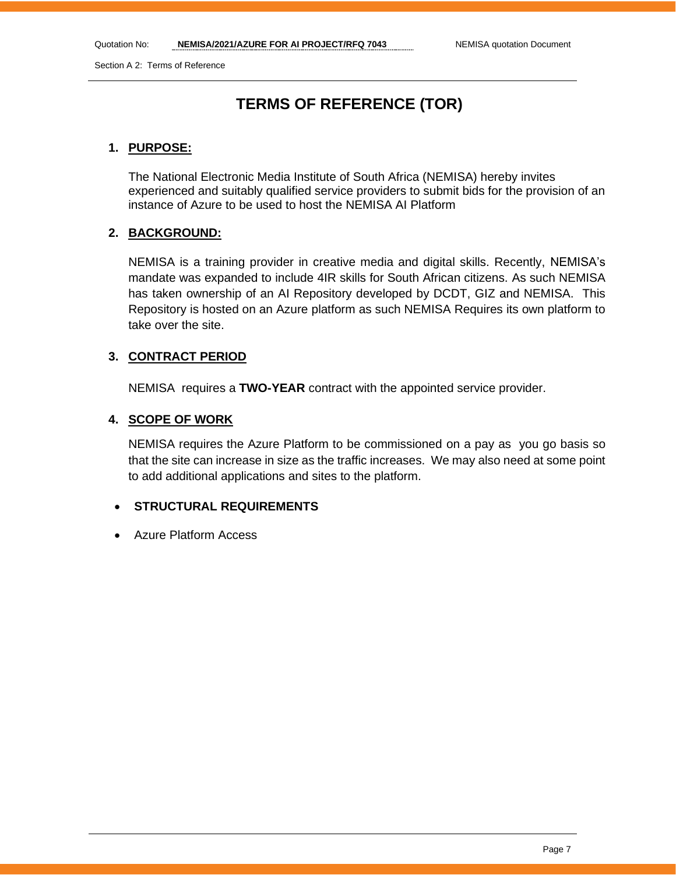Section A 2: Terms of Reference

## **TERMS OF REFERENCE (TOR)**

## **1. PURPOSE:**

The National Electronic Media Institute of South Africa (NEMISA) hereby invites experienced and suitably qualified service providers to submit bids for the provision of an instance of Azure to be used to host the NEMISA AI Platform

## **2. BACKGROUND:**

NEMISA is a training provider in creative media and digital skills. Recently, NEMISA's mandate was expanded to include 4IR skills for South African citizens. As such NEMISA has taken ownership of an AI Repository developed by DCDT, GIZ and NEMISA. This Repository is hosted on an Azure platform as such NEMISA Requires its own platform to take over the site.

## **3. CONTRACT PERIOD**

NEMISA requires a **TWO-YEAR** contract with the appointed service provider.

## **4. SCOPE OF WORK**

NEMISA requires the Azure Platform to be commissioned on a pay as you go basis so that the site can increase in size as the traffic increases. We may also need at some point to add additional applications and sites to the platform.

## • **STRUCTURAL REQUIREMENTS**

• Azure Platform Access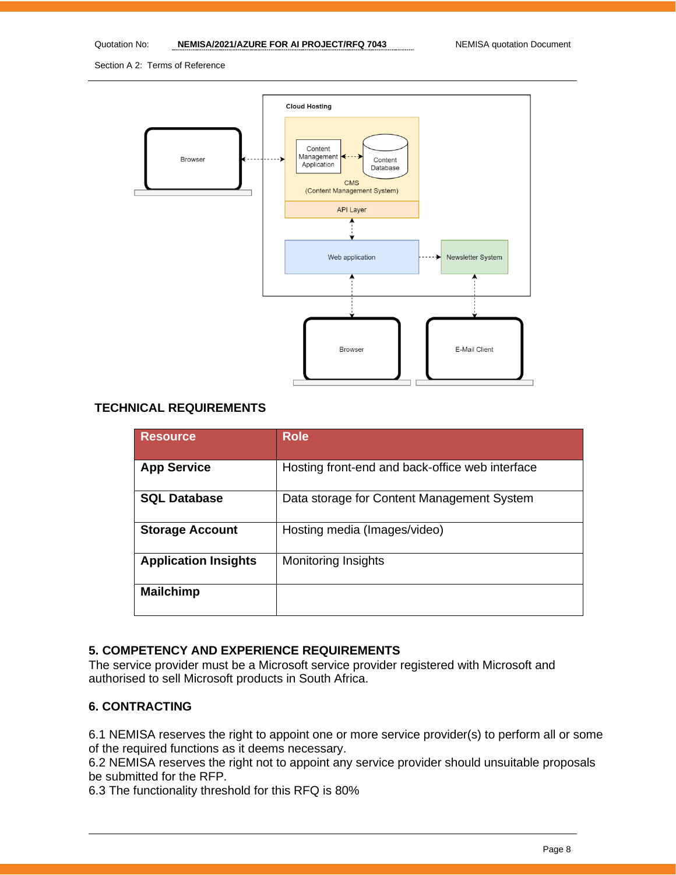Section A 2: Terms of Reference



## **TECHNICAL REQUIREMENTS**

| <b>Resource</b>             | <b>Role</b>                                     |
|-----------------------------|-------------------------------------------------|
| <b>App Service</b>          | Hosting front-end and back-office web interface |
| <b>SQL Database</b>         | Data storage for Content Management System      |
| <b>Storage Account</b>      | Hosting media (Images/video)                    |
| <b>Application Insights</b> | <b>Monitoring Insights</b>                      |
| <b>Mailchimp</b>            |                                                 |

## **5. COMPETENCY AND EXPERIENCE REQUIREMENTS**

The service provider must be a Microsoft service provider registered with Microsoft and authorised to sell Microsoft products in South Africa.

#### **6. CONTRACTING**

6.1 NEMISA reserves the right to appoint one or more service provider(s) to perform all or some of the required functions as it deems necessary.

6.2 NEMISA reserves the right not to appoint any service provider should unsuitable proposals be submitted for the RFP.

6.3 The functionality threshold for this RFQ is 80%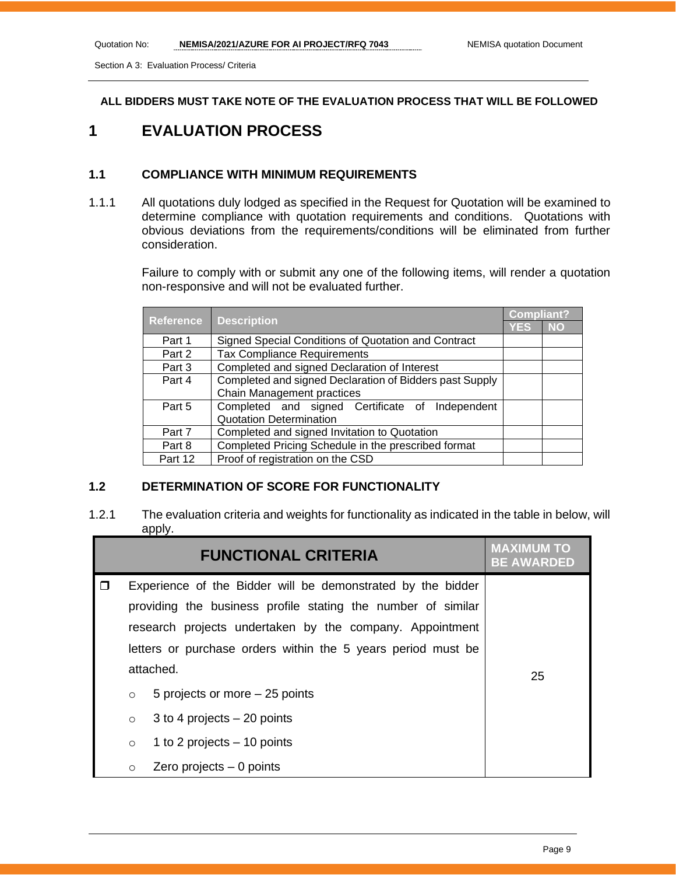Section A 3: Evaluation Process/ Criteria

#### **ALL BIDDERS MUST TAKE NOTE OF THE EVALUATION PROCESS THAT WILL BE FOLLOWED**

## **1 EVALUATION PROCESS**

## **1.1 COMPLIANCE WITH MINIMUM REQUIREMENTS**

1.1.1 All quotations duly lodged as specified in the Request for Quotation will be examined to determine compliance with quotation requirements and conditions. Quotations with obvious deviations from the requirements/conditions will be eliminated from further consideration.

> Failure to comply with or submit any one of the following items, will render a quotation non-responsive and will not be evaluated further.

| <b>Reference</b> | <b>Description</b>                                      | <b>Compliant?</b> |           |
|------------------|---------------------------------------------------------|-------------------|-----------|
|                  |                                                         |                   | <b>NO</b> |
| Part 1           | Signed Special Conditions of Quotation and Contract     |                   |           |
| Part 2           | <b>Tax Compliance Requirements</b>                      |                   |           |
| Part 3           | Completed and signed Declaration of Interest            |                   |           |
| Part 4           | Completed and signed Declaration of Bidders past Supply |                   |           |
|                  | Chain Management practices                              |                   |           |
| Part 5           | Completed and signed Certificate of Independent         |                   |           |
|                  | <b>Quotation Determination</b>                          |                   |           |
| Part 7           | Completed and signed Invitation to Quotation            |                   |           |
| Part 8           | Completed Pricing Schedule in the prescribed format     |                   |           |
| Part 12          | Proof of registration on the CSD                        |                   |           |

## **1.2 DETERMINATION OF SCORE FOR FUNCTIONALITY**

1.2.1 The evaluation criteria and weights for functionality as indicated in the table in below, will apply.

|         | <b>FUNCTIONAL CRITERIA</b>                                   | <b>BE AWARDED</b> |
|---------|--------------------------------------------------------------|-------------------|
|         | Experience of the Bidder will be demonstrated by the bidder  |                   |
|         | providing the business profile stating the number of similar |                   |
|         | research projects undertaken by the company. Appointment     |                   |
|         | letters or purchase orders within the 5 years period must be |                   |
|         | attached.                                                    | 25                |
| $\circ$ | 5 projects or more – 25 points                               |                   |
| $\circ$ | 3 to 4 projects $-20$ points                                 |                   |
| $\circ$ | 1 to 2 projects $-10$ points                                 |                   |
| $\circ$ | Zero projects $-0$ points                                    |                   |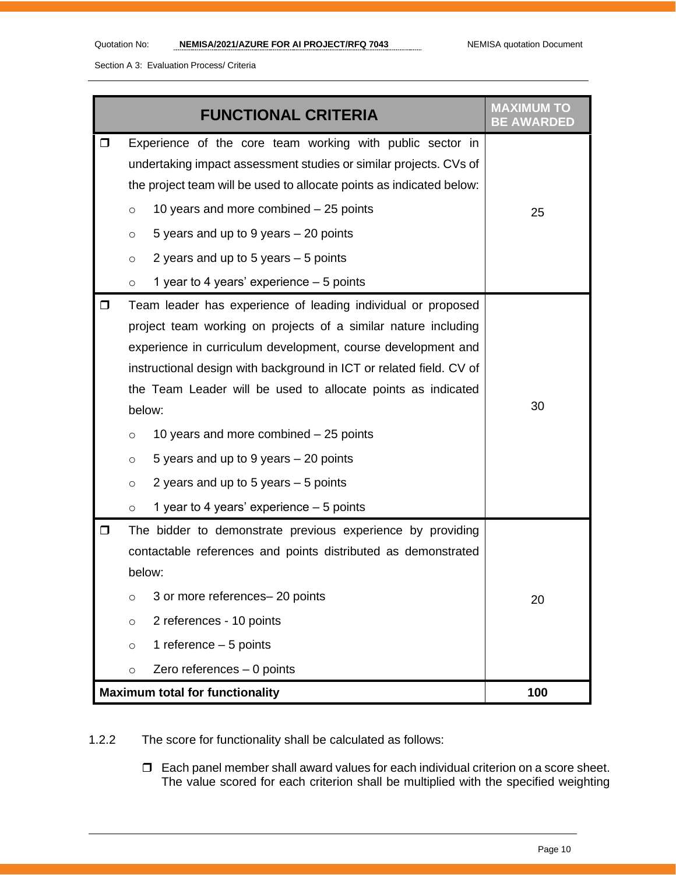Section A 3: Evaluation Process/ Criteria

|        | <b>FUNCTIONAL CRITERIA</b>                                                                                                                                                                                                                                                                                                                                                                                                                                                                                                                                         | <b>MAXIMUM TO</b> |
|--------|--------------------------------------------------------------------------------------------------------------------------------------------------------------------------------------------------------------------------------------------------------------------------------------------------------------------------------------------------------------------------------------------------------------------------------------------------------------------------------------------------------------------------------------------------------------------|-------------------|
| 0      | Experience of the core team working with public sector in<br>undertaking impact assessment studies or similar projects. CVs of                                                                                                                                                                                                                                                                                                                                                                                                                                     |                   |
|        | the project team will be used to allocate points as indicated below:                                                                                                                                                                                                                                                                                                                                                                                                                                                                                               |                   |
|        | 10 years and more combined $-25$ points<br>$\circ$                                                                                                                                                                                                                                                                                                                                                                                                                                                                                                                 | 25                |
|        | 5 years and up to 9 years – 20 points<br>$\circ$                                                                                                                                                                                                                                                                                                                                                                                                                                                                                                                   |                   |
|        | 2 years and up to 5 years $-5$ points<br>$\circ$                                                                                                                                                                                                                                                                                                                                                                                                                                                                                                                   |                   |
|        | 1 year to 4 years' experience - 5 points<br>$\circ$                                                                                                                                                                                                                                                                                                                                                                                                                                                                                                                |                   |
| 0      | Team leader has experience of leading individual or proposed<br>project team working on projects of a similar nature including<br>experience in curriculum development, course development and<br>instructional design with background in ICT or related field. CV of<br>the Team Leader will be used to allocate points as indicated<br>below:<br>10 years and more combined - 25 points<br>$\circ$<br>5 years and up to 9 years - 20 points<br>$\circ$<br>2 years and up to 5 years - 5 points<br>$\circ$<br>1 year to 4 years' experience - 5 points<br>$\circ$ | 30                |
| $\Box$ | The bidder to demonstrate previous experience by providing<br>contactable references and points distributed as demonstrated<br>below:<br>3 or more references- 20 points<br>$\circ$<br>2 references - 10 points<br>$\circ$<br>1 reference $-5$ points<br>$\circ$<br>Zero references - 0 points<br>$\circ$                                                                                                                                                                                                                                                          | 20                |
|        | <b>Maximum total for functionality</b>                                                                                                                                                                                                                                                                                                                                                                                                                                                                                                                             | 100               |

1.2.2 The score for functionality shall be calculated as follows:

 $\Box$  Each panel member shall award values for each individual criterion on a score sheet. The value scored for each criterion shall be multiplied with the specified weighting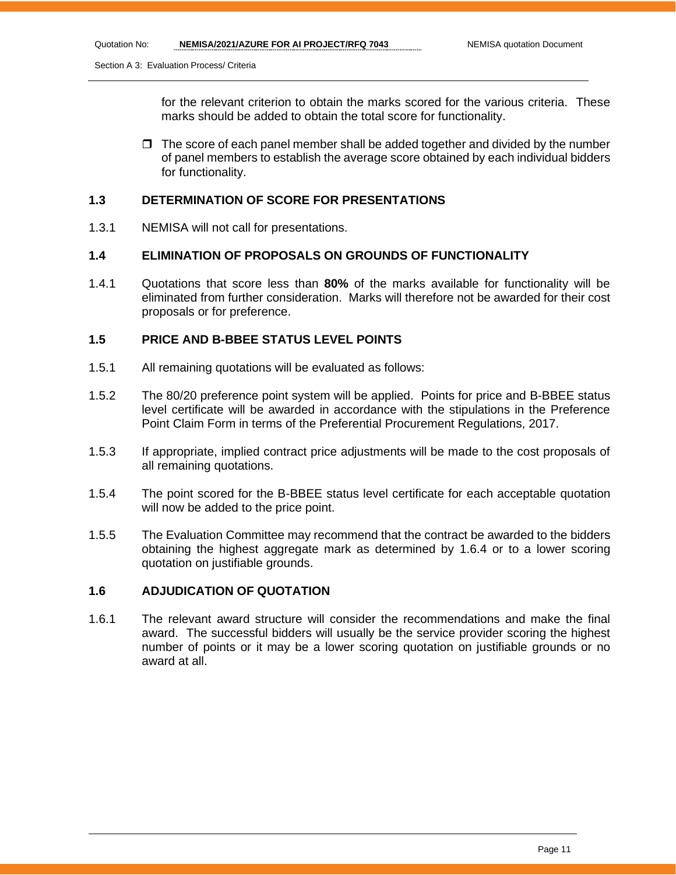Section A 3: Evaluation Process/ Criteria

for the relevant criterion to obtain the marks scored for the various criteria. These marks should be added to obtain the total score for functionality.

 $\Box$  The score of each panel member shall be added together and divided by the number of panel members to establish the average score obtained by each individual bidders for functionality.

#### **1.3 DETERMINATION OF SCORE FOR PRESENTATIONS**

1.3.1 NEMISA will not call for presentations.

## **1.4 ELIMINATION OF PROPOSALS ON GROUNDS OF FUNCTIONALITY**

1.4.1 Quotations that score less than **80%** of the marks available for functionality will be eliminated from further consideration. Marks will therefore not be awarded for their cost proposals or for preference.

#### **1.5 PRICE AND B-BBEE STATUS LEVEL POINTS**

- 1.5.1 All remaining quotations will be evaluated as follows:
- 1.5.2 The 80/20 preference point system will be applied. Points for price and B-BBEE status level certificate will be awarded in accordance with the stipulations in the Preference Point Claim Form in terms of the Preferential Procurement Regulations, 2017.
- 1.5.3 If appropriate, implied contract price adjustments will be made to the cost proposals of all remaining quotations.
- 1.5.4 The point scored for the B-BBEE status level certificate for each acceptable quotation will now be added to the price point.
- 1.5.5 The Evaluation Committee may recommend that the contract be awarded to the bidders obtaining the highest aggregate mark as determined by 1.6.4 or to a lower scoring quotation on justifiable grounds.

## **1.6 ADJUDICATION OF QUOTATION**

1.6.1 The relevant award structure will consider the recommendations and make the final award. The successful bidders will usually be the service provider scoring the highest number of points or it may be a lower scoring quotation on justifiable grounds or no award at all.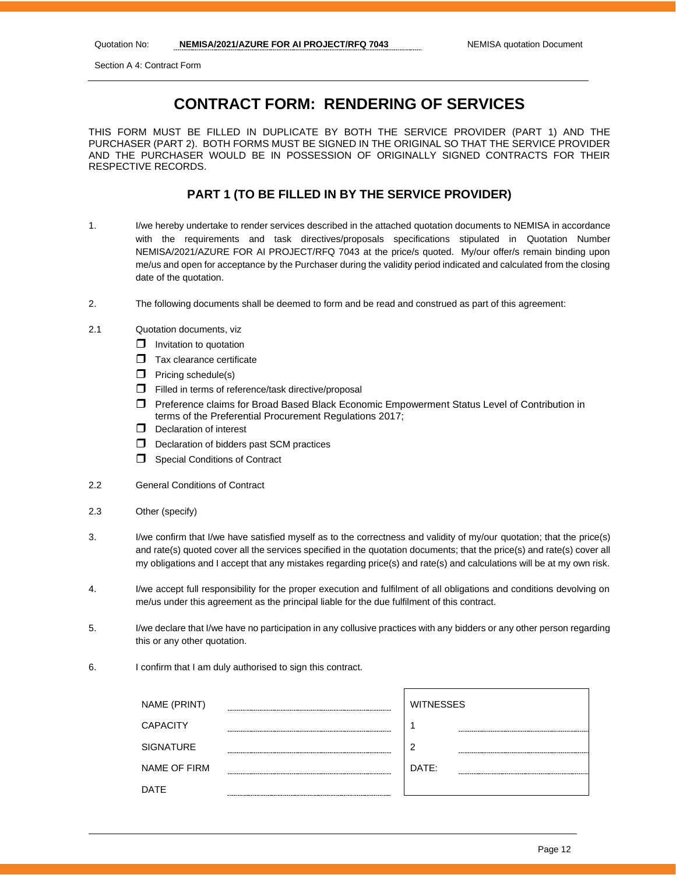Section A 4: Contract Form

## **CONTRACT FORM: RENDERING OF SERVICES**

THIS FORM MUST BE FILLED IN DUPLICATE BY BOTH THE SERVICE PROVIDER (PART 1) AND THE PURCHASER (PART 2). BOTH FORMS MUST BE SIGNED IN THE ORIGINAL SO THAT THE SERVICE PROVIDER AND THE PURCHASER WOULD BE IN POSSESSION OF ORIGINALLY SIGNED CONTRACTS FOR THEIR RESPECTIVE RECORDS.

## **PART 1 (TO BE FILLED IN BY THE SERVICE PROVIDER)**

- 1. I/we hereby undertake to render services described in the attached quotation documents to NEMISA in accordance with the requirements and task directives/proposals specifications stipulated in Quotation Number NEMISA/2021/AZURE FOR AI PROJECT/RFQ 7043 at the price/s quoted. My/our offer/s remain binding upon me/us and open for acceptance by the Purchaser during the validity period indicated and calculated from the closing date of the quotation.
- 2. The following documents shall be deemed to form and be read and construed as part of this agreement:
- 2.1 Quotation documents, viz
	- $\Box$  Invitation to quotation
	- $\Box$  Tax clearance certificate
	- $\Box$  Pricing schedule(s)
	- $\Box$  Filled in terms of reference/task directive/proposal
	- Preference claims for Broad Based Black Economic Empowerment Status Level of Contribution in terms of the Preferential Procurement Regulations 2017;
	- $\Box$  Declaration of interest
	- $\Box$  Declaration of bidders past SCM practices
	- **Special Conditions of Contract**
- 2.2 General Conditions of Contract
- 2.3 Other (specify)
- 3. I/we confirm that I/we have satisfied myself as to the correctness and validity of my/our quotation; that the price(s) and rate(s) quoted cover all the services specified in the quotation documents; that the price(s) and rate(s) cover all my obligations and I accept that any mistakes regarding price(s) and rate(s) and calculations will be at my own risk.
- 4. I/we accept full responsibility for the proper execution and fulfilment of all obligations and conditions devolving on me/us under this agreement as the principal liable for the due fulfilment of this contract.
- 5. I/we declare that I/we have no participation in any collusive practices with any bidders or any other person regarding this or any other quotation.
- 6. I confirm that I am duly authorised to sign this contract.

| NAME (PRINT)     |            | <b>WITNESSES</b> |
|------------------|------------|------------------|
| <b>CAPACITY</b>  | ---------- | л                |
| <b>SIGNATURE</b> | ------     | 2                |
| NAME OF FIRM     |            | DATE:            |
| <b>DATE</b>      |            |                  |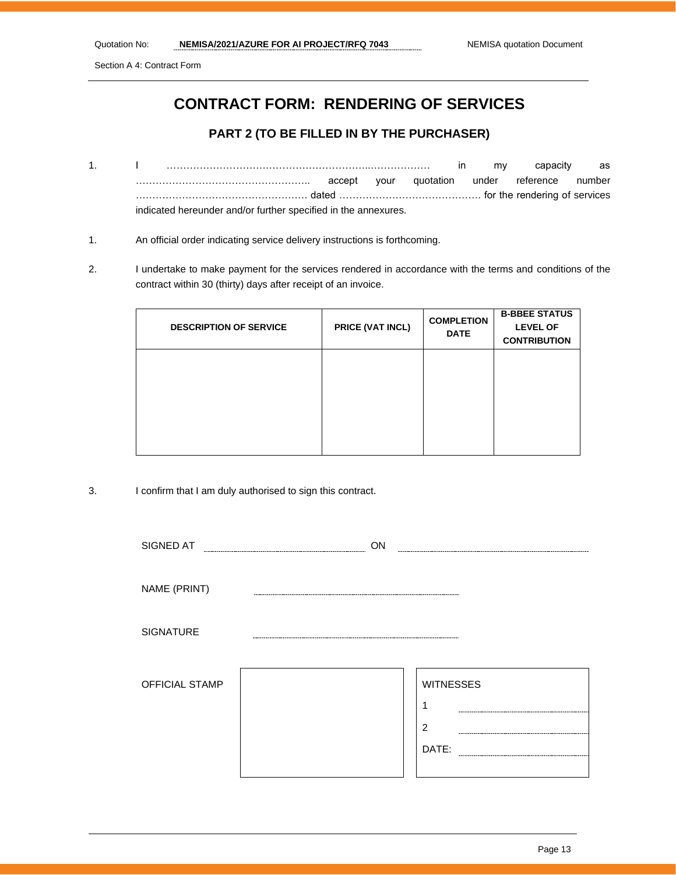Section A 4: Contract Form

## **CONTRACT FORM: RENDERING OF SERVICES**

## **PART 2 (TO BE FILLED IN BY THE PURCHASER)**

- 1. I ……………………………………………………..……………… in my capacity as …………………………………………….. accept your quotation under reference number ……………………………………………. dated ……………………………………. for the rendering of services indicated hereunder and/or further specified in the annexures.
- 1. An official order indicating service delivery instructions is forthcoming.
- 2. I undertake to make payment for the services rendered in accordance with the terms and conditions of the contract within 30 (thirty) days after receipt of an invoice.

| <b>DESCRIPTION OF SERVICE</b> | PRICE (VAT INCL) | <b>COMPLETION</b><br><b>DATE</b> | <b>B-BBEE STATUS</b><br><b>LEVEL OF</b><br><b>CONTRIBUTION</b> |
|-------------------------------|------------------|----------------------------------|----------------------------------------------------------------|
|                               |                  |                                  |                                                                |
|                               |                  |                                  |                                                                |
|                               |                  |                                  |                                                                |

3. I confirm that I am duly authorised to sign this contract.

| SIGNED AT      | ON               |
|----------------|------------------|
| NAME (PRINT)   |                  |
| SIGNATURE      |                  |
|                |                  |
| OFFICIAL STAMP | <b>WITNESSES</b> |
|                | 1                |
|                | $\overline{2}$   |
|                | DATE:            |
|                |                  |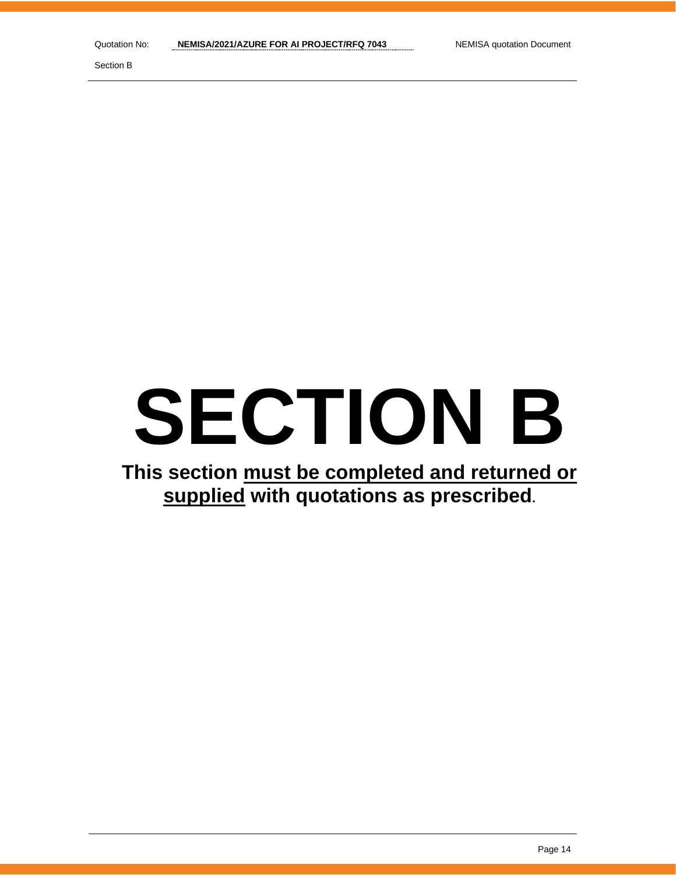Section B

# **SECTION B**

# **This section must be completed and returned or supplied with quotations as prescribed.**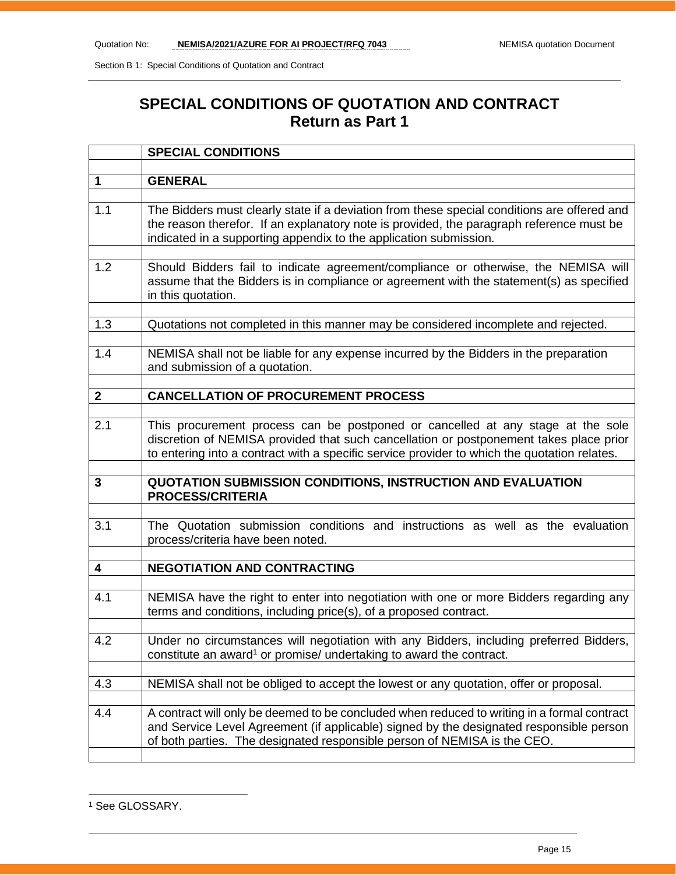## **SPECIAL CONDITIONS OF QUOTATION AND CONTRACT Return as Part 1**

|                | <b>SPECIAL CONDITIONS</b>                                                                                                                                                                                                                                                 |
|----------------|---------------------------------------------------------------------------------------------------------------------------------------------------------------------------------------------------------------------------------------------------------------------------|
|                |                                                                                                                                                                                                                                                                           |
| 1              | <b>GENERAL</b>                                                                                                                                                                                                                                                            |
| 1.1            | The Bidders must clearly state if a deviation from these special conditions are offered and<br>the reason therefor. If an explanatory note is provided, the paragraph reference must be<br>indicated in a supporting appendix to the application submission.              |
| 1.2            | Should Bidders fail to indicate agreement/compliance or otherwise, the NEMISA will<br>assume that the Bidders is in compliance or agreement with the statement(s) as specified<br>in this quotation.                                                                      |
| 1.3            | Quotations not completed in this manner may be considered incomplete and rejected.                                                                                                                                                                                        |
| 1.4            | NEMISA shall not be liable for any expense incurred by the Bidders in the preparation<br>and submission of a quotation.                                                                                                                                                   |
| $\overline{2}$ | <b>CANCELLATION OF PROCUREMENT PROCESS</b>                                                                                                                                                                                                                                |
|                |                                                                                                                                                                                                                                                                           |
| 2.1            | This procurement process can be postponed or cancelled at any stage at the sole<br>discretion of NEMISA provided that such cancellation or postponement takes place prior<br>to entering into a contract with a specific service provider to which the quotation relates. |
| 3              | QUOTATION SUBMISSION CONDITIONS, INSTRUCTION AND EVALUATION<br><b>PROCESS/CRITERIA</b>                                                                                                                                                                                    |
| 3.1            | The Quotation submission conditions and instructions as well as the evaluation<br>process/criteria have been noted.                                                                                                                                                       |
|                |                                                                                                                                                                                                                                                                           |
| 4              | <b>NEGOTIATION AND CONTRACTING</b>                                                                                                                                                                                                                                        |
| 4.1            | NEMISA have the right to enter into negotiation with one or more Bidders regarding any<br>terms and conditions, including price(s), of a proposed contract.                                                                                                               |
| 4.2            | Under no circumstances will negotiation with any Bidders, including preferred Bidders,<br>constitute an award <sup>1</sup> or promise/ undertaking to award the contract.                                                                                                 |
| 4.3            | NEMISA shall not be obliged to accept the lowest or any quotation, offer or proposal.                                                                                                                                                                                     |
| 4.4            | A contract will only be deemed to be concluded when reduced to writing in a formal contract<br>and Service Level Agreement (if applicable) signed by the designated responsible person<br>of both parties. The designated responsible person of NEMISA is the CEO.        |

<sup>&</sup>lt;sup>1</sup> See GLOSSARY.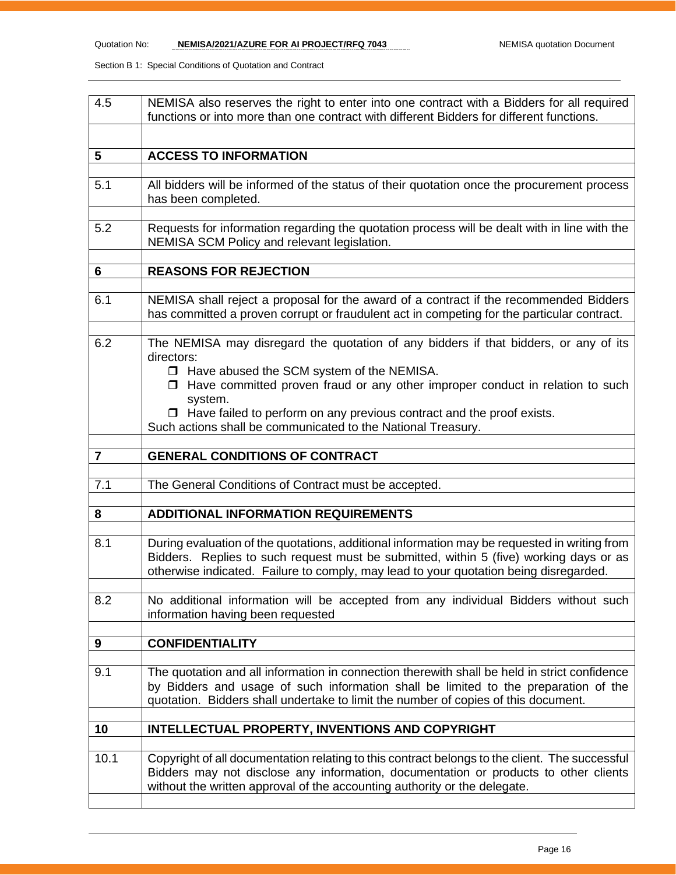| NEMISA also reserves the right to enter into one contract with a Bidders for all required<br>functions or into more than one contract with different Bidders for different functions.                                                                                           |
|---------------------------------------------------------------------------------------------------------------------------------------------------------------------------------------------------------------------------------------------------------------------------------|
|                                                                                                                                                                                                                                                                                 |
| <b>ACCESS TO INFORMATION</b>                                                                                                                                                                                                                                                    |
| All bidders will be informed of the status of their quotation once the procurement process<br>has been completed.                                                                                                                                                               |
| Requests for information regarding the quotation process will be dealt with in line with the<br>NEMISA SCM Policy and relevant legislation.                                                                                                                                     |
| <b>REASONS FOR REJECTION</b>                                                                                                                                                                                                                                                    |
|                                                                                                                                                                                                                                                                                 |
| NEMISA shall reject a proposal for the award of a contract if the recommended Bidders<br>has committed a proven corrupt or fraudulent act in competing for the particular contract.                                                                                             |
| The NEMISA may disregard the quotation of any bidders if that bidders, or any of its<br>directors:                                                                                                                                                                              |
| □ Have abused the SCM system of the NEMISA.                                                                                                                                                                                                                                     |
| $\Box$ Have committed proven fraud or any other improper conduct in relation to such                                                                                                                                                                                            |
| system.<br>$\Box$ Have failed to perform on any previous contract and the proof exists.                                                                                                                                                                                         |
| Such actions shall be communicated to the National Treasury.                                                                                                                                                                                                                    |
|                                                                                                                                                                                                                                                                                 |
| <b>GENERAL CONDITIONS OF CONTRACT</b>                                                                                                                                                                                                                                           |
| The General Conditions of Contract must be accepted.                                                                                                                                                                                                                            |
|                                                                                                                                                                                                                                                                                 |
| <b>ADDITIONAL INFORMATION REQUIREMENTS</b>                                                                                                                                                                                                                                      |
|                                                                                                                                                                                                                                                                                 |
| During evaluation of the quotations, additional information may be requested in writing from<br>Bidders. Replies to such request must be submitted, within 5 (five) working days or as<br>otherwise indicated. Failure to comply, may lead to your quotation being disregarded. |
| No additional information will be accepted from any individual Bidders without such<br>information having been requested                                                                                                                                                        |
| <b>CONFIDENTIALITY</b>                                                                                                                                                                                                                                                          |
|                                                                                                                                                                                                                                                                                 |
| The quotation and all information in connection therewith shall be held in strict confidence<br>by Bidders and usage of such information shall be limited to the preparation of the<br>quotation. Bidders shall undertake to limit the number of copies of this document.       |
| INTELLECTUAL PROPERTY, INVENTIONS AND COPYRIGHT                                                                                                                                                                                                                                 |
|                                                                                                                                                                                                                                                                                 |
| Copyright of all documentation relating to this contract belongs to the client. The successful<br>Bidders may not disclose any information, documentation or products to other clients<br>without the written approval of the accounting authority or the delegate.             |
|                                                                                                                                                                                                                                                                                 |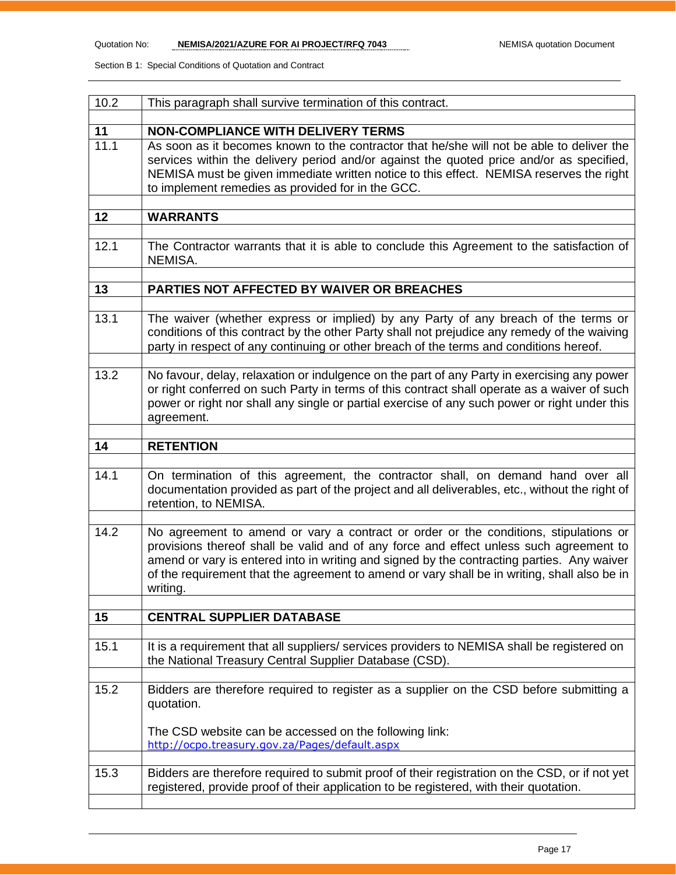| 10.2 | This paragraph shall survive termination of this contract.                                                                                                                                                                                                                                                                                                                               |
|------|------------------------------------------------------------------------------------------------------------------------------------------------------------------------------------------------------------------------------------------------------------------------------------------------------------------------------------------------------------------------------------------|
| 11   | <b>NON-COMPLIANCE WITH DELIVERY TERMS</b>                                                                                                                                                                                                                                                                                                                                                |
| 11.1 | As soon as it becomes known to the contractor that he/she will not be able to deliver the<br>services within the delivery period and/or against the quoted price and/or as specified,<br>NEMISA must be given immediate written notice to this effect. NEMISA reserves the right<br>to implement remedies as provided for in the GCC.                                                    |
| 12   | <b>WARRANTS</b>                                                                                                                                                                                                                                                                                                                                                                          |
| 12.1 | The Contractor warrants that it is able to conclude this Agreement to the satisfaction of<br>NEMISA.                                                                                                                                                                                                                                                                                     |
| 13   | PARTIES NOT AFFECTED BY WAIVER OR BREACHES                                                                                                                                                                                                                                                                                                                                               |
|      |                                                                                                                                                                                                                                                                                                                                                                                          |
| 13.1 | The waiver (whether express or implied) by any Party of any breach of the terms or<br>conditions of this contract by the other Party shall not prejudice any remedy of the waiving<br>party in respect of any continuing or other breach of the terms and conditions hereof.                                                                                                             |
| 13.2 | No favour, delay, relaxation or indulgence on the part of any Party in exercising any power<br>or right conferred on such Party in terms of this contract shall operate as a waiver of such<br>power or right nor shall any single or partial exercise of any such power or right under this<br>agreement.                                                                               |
| 14   | <b>RETENTION</b>                                                                                                                                                                                                                                                                                                                                                                         |
|      |                                                                                                                                                                                                                                                                                                                                                                                          |
| 14.1 | On termination of this agreement, the contractor shall, on demand hand over all<br>documentation provided as part of the project and all deliverables, etc., without the right of<br>retention, to NEMISA.                                                                                                                                                                               |
| 14.2 | No agreement to amend or vary a contract or order or the conditions, stipulations or<br>provisions thereof shall be valid and of any force and effect unless such agreement to<br>amend or vary is entered into in writing and signed by the contracting parties. Any waiver<br>of the requirement that the agreement to amend or vary shall be in writing, shall also be in<br>writing. |
| 15   | <b>CENTRAL SUPPLIER DATABASE</b>                                                                                                                                                                                                                                                                                                                                                         |
|      |                                                                                                                                                                                                                                                                                                                                                                                          |
| 15.1 | It is a requirement that all suppliers/services providers to NEMISA shall be registered on<br>the National Treasury Central Supplier Database (CSD).                                                                                                                                                                                                                                     |
| 15.2 | Bidders are therefore required to register as a supplier on the CSD before submitting a<br>quotation.                                                                                                                                                                                                                                                                                    |
|      | The CSD website can be accessed on the following link:<br>http://ocpo.treasury.gov.za/Pages/default.aspx                                                                                                                                                                                                                                                                                 |
| 15.3 | Bidders are therefore required to submit proof of their registration on the CSD, or if not yet<br>registered, provide proof of their application to be registered, with their quotation.                                                                                                                                                                                                 |
|      |                                                                                                                                                                                                                                                                                                                                                                                          |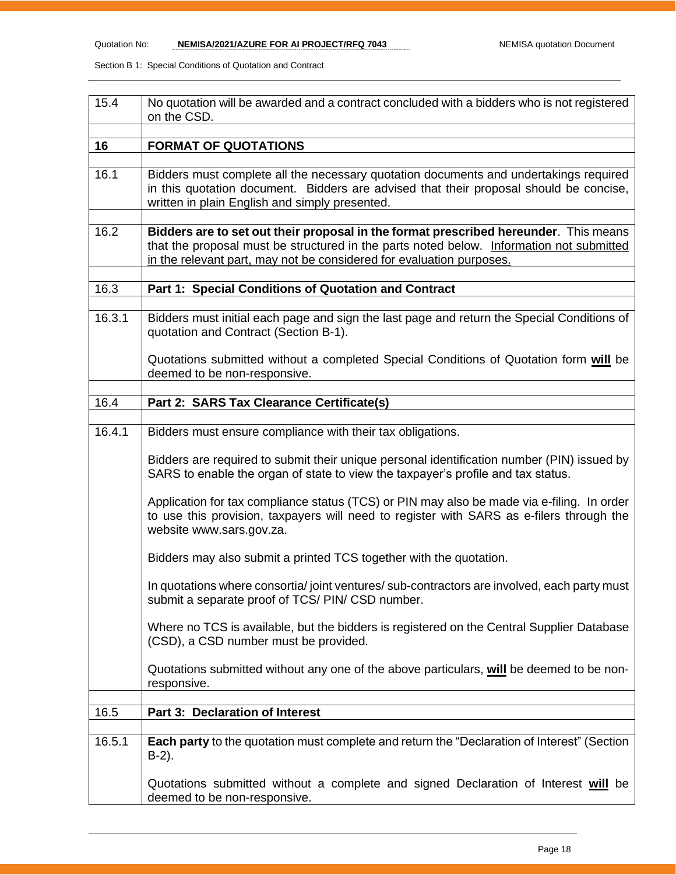| 15.4   | No quotation will be awarded and a contract concluded with a bidders who is not registered<br>on the CSD.                                                                                                                                                |  |  |  |
|--------|----------------------------------------------------------------------------------------------------------------------------------------------------------------------------------------------------------------------------------------------------------|--|--|--|
| 16     | <b>FORMAT OF QUOTATIONS</b>                                                                                                                                                                                                                              |  |  |  |
| 16.1   | Bidders must complete all the necessary quotation documents and undertakings required<br>in this quotation document. Bidders are advised that their proposal should be concise,<br>written in plain English and simply presented.                        |  |  |  |
| 16.2   | Bidders are to set out their proposal in the format prescribed hereunder. This means<br>that the proposal must be structured in the parts noted below. Information not submitted<br>in the relevant part, may not be considered for evaluation purposes. |  |  |  |
| 16.3   | Part 1: Special Conditions of Quotation and Contract                                                                                                                                                                                                     |  |  |  |
| 16.3.1 | Bidders must initial each page and sign the last page and return the Special Conditions of<br>quotation and Contract (Section B-1).                                                                                                                      |  |  |  |
|        | Quotations submitted without a completed Special Conditions of Quotation form will be<br>deemed to be non-responsive.                                                                                                                                    |  |  |  |
| 16.4   | Part 2: SARS Tax Clearance Certificate(s)                                                                                                                                                                                                                |  |  |  |
|        |                                                                                                                                                                                                                                                          |  |  |  |
| 16.4.1 | Bidders must ensure compliance with their tax obligations.                                                                                                                                                                                               |  |  |  |
|        | Bidders are required to submit their unique personal identification number (PIN) issued by<br>SARS to enable the organ of state to view the taxpayer's profile and tax status.                                                                           |  |  |  |
|        | Application for tax compliance status (TCS) or PIN may also be made via e-filing. In order<br>to use this provision, taxpayers will need to register with SARS as e-filers through the<br>website www.sars.gov.za.                                       |  |  |  |
|        | Bidders may also submit a printed TCS together with the quotation.                                                                                                                                                                                       |  |  |  |
|        | In quotations where consortia/ joint ventures/ sub-contractors are involved, each party must<br>submit a separate proof of TCS/ PIN/ CSD number.                                                                                                         |  |  |  |
|        | Where no TCS is available, but the bidders is registered on the Central Supplier Database<br>(CSD), a CSD number must be provided.                                                                                                                       |  |  |  |
|        | Quotations submitted without any one of the above particulars, will be deemed to be non-<br>responsive.                                                                                                                                                  |  |  |  |
| 16.5   | Part 3: Declaration of Interest                                                                                                                                                                                                                          |  |  |  |
|        |                                                                                                                                                                                                                                                          |  |  |  |
| 16.5.1 | Each party to the quotation must complete and return the "Declaration of Interest" (Section<br>$B-2$ ).                                                                                                                                                  |  |  |  |
|        | Quotations submitted without a complete and signed Declaration of Interest will be<br>deemed to be non-responsive.                                                                                                                                       |  |  |  |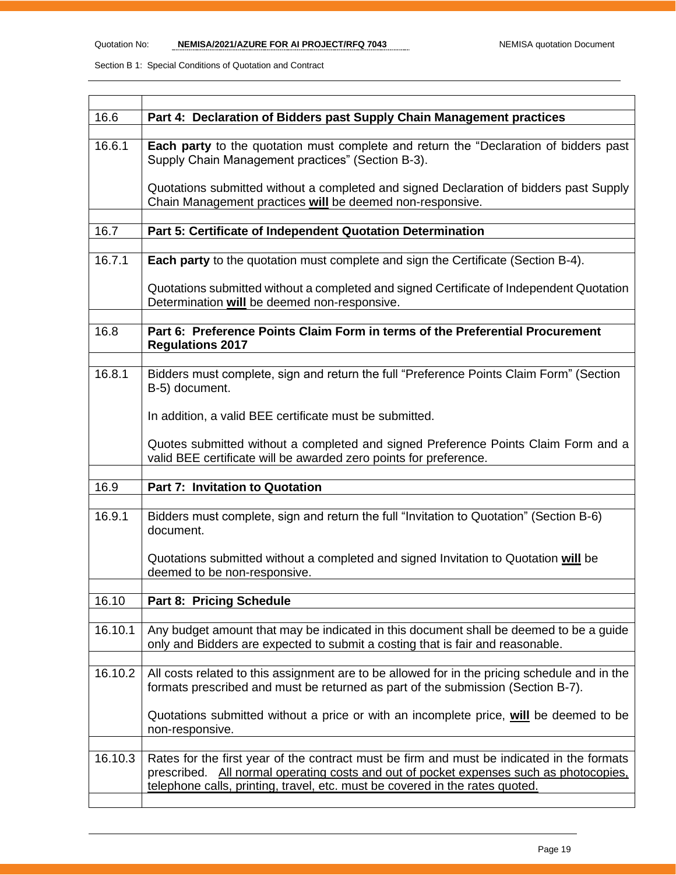| 16.6    | Part 4: Declaration of Bidders past Supply Chain Management practices                                                                                                                                                                                                |  |  |  |
|---------|----------------------------------------------------------------------------------------------------------------------------------------------------------------------------------------------------------------------------------------------------------------------|--|--|--|
| 16.6.1  | Each party to the quotation must complete and return the "Declaration of bidders past<br>Supply Chain Management practices" (Section B-3).                                                                                                                           |  |  |  |
|         | Quotations submitted without a completed and signed Declaration of bidders past Supply<br>Chain Management practices will be deemed non-responsive.                                                                                                                  |  |  |  |
| 16.7    | Part 5: Certificate of Independent Quotation Determination                                                                                                                                                                                                           |  |  |  |
|         |                                                                                                                                                                                                                                                                      |  |  |  |
| 16.7.1  | Each party to the quotation must complete and sign the Certificate (Section B-4).                                                                                                                                                                                    |  |  |  |
|         | Quotations submitted without a completed and signed Certificate of Independent Quotation<br>Determination will be deemed non-responsive.                                                                                                                             |  |  |  |
|         |                                                                                                                                                                                                                                                                      |  |  |  |
| 16.8    | Part 6: Preference Points Claim Form in terms of the Preferential Procurement<br><b>Regulations 2017</b>                                                                                                                                                             |  |  |  |
|         |                                                                                                                                                                                                                                                                      |  |  |  |
| 16.8.1  | Bidders must complete, sign and return the full "Preference Points Claim Form" (Section<br>B-5) document.                                                                                                                                                            |  |  |  |
|         | In addition, a valid BEE certificate must be submitted.                                                                                                                                                                                                              |  |  |  |
|         | Quotes submitted without a completed and signed Preference Points Claim Form and a<br>valid BEE certificate will be awarded zero points for preference.                                                                                                              |  |  |  |
|         |                                                                                                                                                                                                                                                                      |  |  |  |
| 16.9    | <b>Part 7: Invitation to Quotation</b>                                                                                                                                                                                                                               |  |  |  |
|         |                                                                                                                                                                                                                                                                      |  |  |  |
| 16.9.1  | Bidders must complete, sign and return the full "Invitation to Quotation" (Section B-6)<br>document.                                                                                                                                                                 |  |  |  |
|         | Quotations submitted without a completed and signed Invitation to Quotation will be<br>deemed to be non-responsive.                                                                                                                                                  |  |  |  |
|         |                                                                                                                                                                                                                                                                      |  |  |  |
| 16.10   | <b>Part 8: Pricing Schedule</b>                                                                                                                                                                                                                                      |  |  |  |
| 16.10.1 | Any budget amount that may be indicated in this document shall be deemed to be a guide<br>only and Bidders are expected to submit a costing that is fair and reasonable.                                                                                             |  |  |  |
|         |                                                                                                                                                                                                                                                                      |  |  |  |
| 16.10.2 | All costs related to this assignment are to be allowed for in the pricing schedule and in the<br>formats prescribed and must be returned as part of the submission (Section B-7).                                                                                    |  |  |  |
|         | Quotations submitted without a price or with an incomplete price, will be deemed to be<br>non-responsive.                                                                                                                                                            |  |  |  |
|         |                                                                                                                                                                                                                                                                      |  |  |  |
|         |                                                                                                                                                                                                                                                                      |  |  |  |
| 16.10.3 | Rates for the first year of the contract must be firm and must be indicated in the formats<br>prescribed. All normal operating costs and out of pocket expenses such as photocopies,<br>telephone calls, printing, travel, etc. must be covered in the rates quoted. |  |  |  |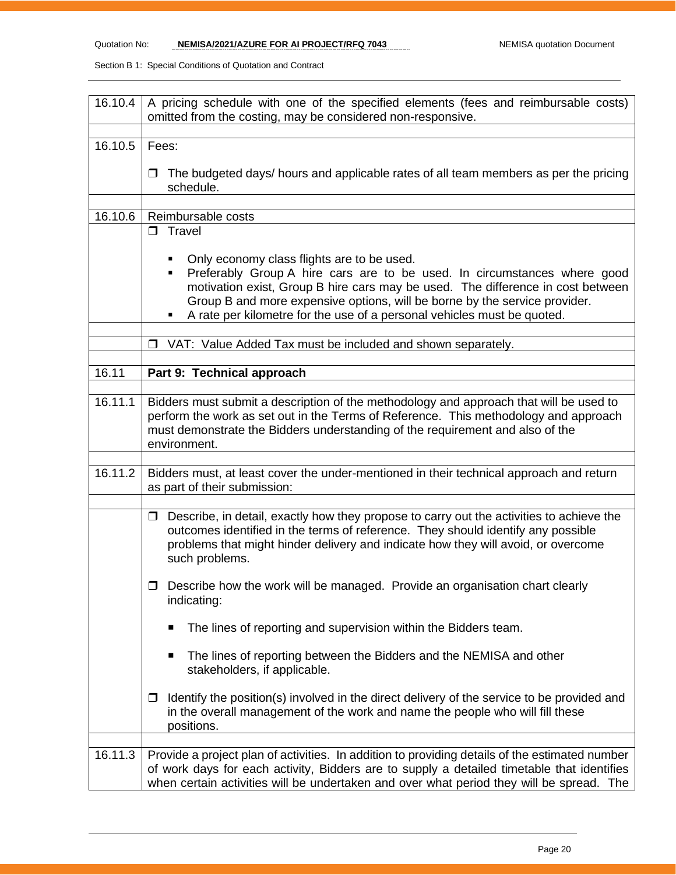| 16.10.4 | A pricing schedule with one of the specified elements (fees and reimbursable costs)<br>omitted from the costing, may be considered non-responsive.                                                                                                                                                                                                                           |  |  |  |
|---------|------------------------------------------------------------------------------------------------------------------------------------------------------------------------------------------------------------------------------------------------------------------------------------------------------------------------------------------------------------------------------|--|--|--|
| 16.10.5 | Fees:                                                                                                                                                                                                                                                                                                                                                                        |  |  |  |
|         | The budgeted days/ hours and applicable rates of all team members as per the pricing<br>□<br>schedule.                                                                                                                                                                                                                                                                       |  |  |  |
|         |                                                                                                                                                                                                                                                                                                                                                                              |  |  |  |
| 16.10.6 | Reimbursable costs<br>$\square$ Travel                                                                                                                                                                                                                                                                                                                                       |  |  |  |
|         | Only economy class flights are to be used.<br>٠<br>Preferably Group A hire cars are to be used. In circumstances where good<br>٠<br>motivation exist, Group B hire cars may be used. The difference in cost between<br>Group B and more expensive options, will be borne by the service provider.<br>A rate per kilometre for the use of a personal vehicles must be quoted. |  |  |  |
|         | □ VAT: Value Added Tax must be included and shown separately.                                                                                                                                                                                                                                                                                                                |  |  |  |
|         |                                                                                                                                                                                                                                                                                                                                                                              |  |  |  |
| 16.11   | Part 9: Technical approach                                                                                                                                                                                                                                                                                                                                                   |  |  |  |
| 16.11.1 | Bidders must submit a description of the methodology and approach that will be used to<br>perform the work as set out in the Terms of Reference. This methodology and approach<br>must demonstrate the Bidders understanding of the requirement and also of the<br>environment.                                                                                              |  |  |  |
| 16.11.2 | Bidders must, at least cover the under-mentioned in their technical approach and return<br>as part of their submission:                                                                                                                                                                                                                                                      |  |  |  |
|         | Describe, in detail, exactly how they propose to carry out the activities to achieve the<br>0<br>outcomes identified in the terms of reference. They should identify any possible<br>problems that might hinder delivery and indicate how they will avoid, or overcome<br>such problems.                                                                                     |  |  |  |
|         | $\Box$ Describe how the work will be managed. Provide an organisation chart clearly<br>indicating:                                                                                                                                                                                                                                                                           |  |  |  |
|         | The lines of reporting and supervision within the Bidders team.<br>п                                                                                                                                                                                                                                                                                                         |  |  |  |
|         | The lines of reporting between the Bidders and the NEMISA and other<br>п<br>stakeholders, if applicable.                                                                                                                                                                                                                                                                     |  |  |  |
|         | Identify the position(s) involved in the direct delivery of the service to be provided and<br>□<br>in the overall management of the work and name the people who will fill these<br>positions.                                                                                                                                                                               |  |  |  |
| 16.11.3 | Provide a project plan of activities. In addition to providing details of the estimated number<br>of work days for each activity, Bidders are to supply a detailed timetable that identifies<br>when certain activities will be undertaken and over what period they will be spread. The                                                                                     |  |  |  |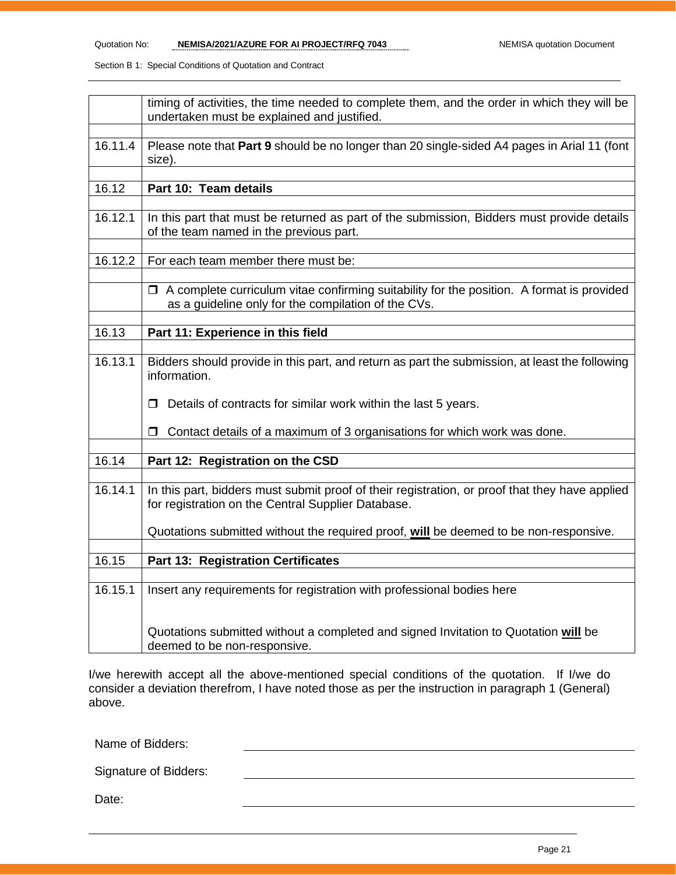|         | timing of activities, the time needed to complete them, and the order in which they will be<br>undertaken must be explained and justified.              |  |  |  |
|---------|---------------------------------------------------------------------------------------------------------------------------------------------------------|--|--|--|
|         |                                                                                                                                                         |  |  |  |
| 16.11.4 | Please note that Part 9 should be no longer than 20 single-sided A4 pages in Arial 11 (font<br>size).                                                   |  |  |  |
|         |                                                                                                                                                         |  |  |  |
| 16.12   | Part 10: Team details                                                                                                                                   |  |  |  |
|         |                                                                                                                                                         |  |  |  |
| 16.12.1 | In this part that must be returned as part of the submission, Bidders must provide details<br>of the team named in the previous part.                   |  |  |  |
|         |                                                                                                                                                         |  |  |  |
| 16.12.2 | For each team member there must be:                                                                                                                     |  |  |  |
|         |                                                                                                                                                         |  |  |  |
|         | $\Box$ A complete curriculum vitae confirming suitability for the position. A format is provided<br>as a guideline only for the compilation of the CVs. |  |  |  |
|         |                                                                                                                                                         |  |  |  |
| 16.13   | Part 11: Experience in this field                                                                                                                       |  |  |  |
|         |                                                                                                                                                         |  |  |  |
| 16.13.1 | Bidders should provide in this part, and return as part the submission, at least the following<br>information.                                          |  |  |  |
|         | Details of contracts for similar work within the last 5 years.<br>П                                                                                     |  |  |  |
|         | Contact details of a maximum of 3 organisations for which work was done.<br>□                                                                           |  |  |  |
| 16.14   | Part 12: Registration on the CSD                                                                                                                        |  |  |  |
|         |                                                                                                                                                         |  |  |  |
| 16.14.1 | In this part, bidders must submit proof of their registration, or proof that they have applied<br>for registration on the Central Supplier Database.    |  |  |  |
|         | Quotations submitted without the required proof, will be deemed to be non-responsive.                                                                   |  |  |  |
|         |                                                                                                                                                         |  |  |  |
| 16.15   | Part 13: Registration Certificates                                                                                                                      |  |  |  |
|         |                                                                                                                                                         |  |  |  |
| 16.15.1 | Insert any requirements for registration with professional bodies here                                                                                  |  |  |  |
|         | Quotations submitted without a completed and signed Invitation to Quotation will be<br>deemed to be non-responsive.                                     |  |  |  |

I/we herewith accept all the above-mentioned special conditions of the quotation. If I/we do consider a deviation therefrom, I have noted those as per the instruction in paragraph 1 (General) above.

Name of Bidders:

Signature of Bidders:

Date: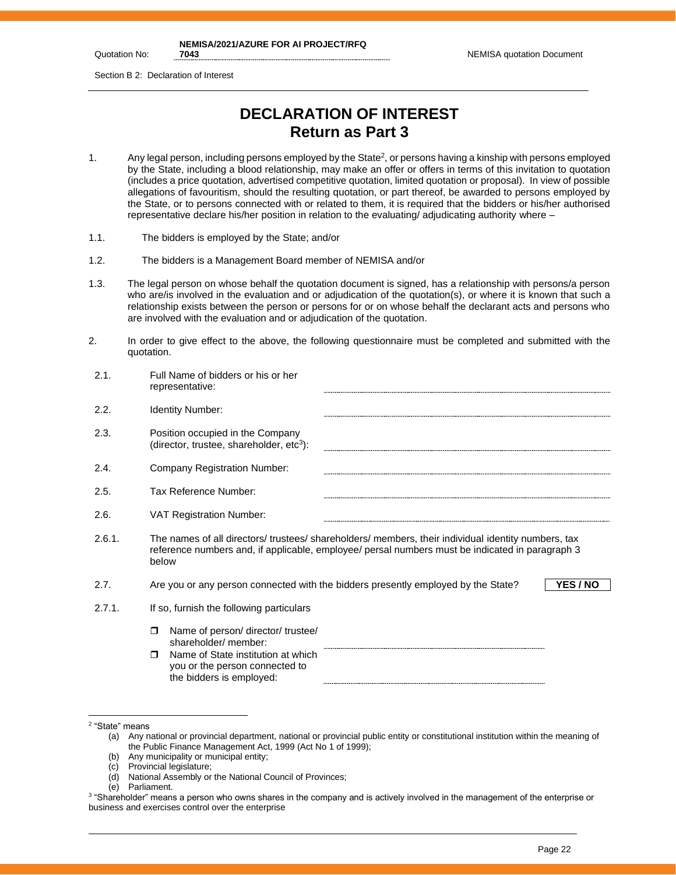Quotation No:

Section B 2: Declaration of Interest

## **DECLARATION OF INTEREST Return as Part 3**

- 1. Any legal person, including persons employed by the State<sup>2</sup>, or persons having a kinship with persons employed by the State, including a blood relationship, may make an offer or offers in terms of this invitation to quotation (includes a price quotation, advertised competitive quotation, limited quotation or proposal). In view of possible allegations of favouritism, should the resulting quotation, or part thereof, be awarded to persons employed by the State, or to persons connected with or related to them, it is required that the bidders or his/her authorised representative declare his/her position in relation to the evaluating/ adjudicating authority where –
- 1.1. The bidders is employed by the State; and/or
- 1.2. The bidders is a Management Board member of NEMISA and/or
- 1.3. The legal person on whose behalf the quotation document is signed, has a relationship with persons/a person who are/is involved in the evaluation and or adjudication of the quotation(s), or where it is known that such a relationship exists between the person or persons for or on whose behalf the declarant acts and persons who are involved with the evaluation and or adjudication of the quotation.
- 2. In order to give effect to the above, the following questionnaire must be completed and submitted with the quotation.

| 2.1.   | Full Name of bidders or his or her<br>representative:                                                                                                                                                           |
|--------|-----------------------------------------------------------------------------------------------------------------------------------------------------------------------------------------------------------------|
| 2.2.   | <b>Identity Number:</b>                                                                                                                                                                                         |
| 2.3.   | Position occupied in the Company<br>(director, trustee, shareholder, $etc3$ ):                                                                                                                                  |
| 2.4.   | Company Registration Number:                                                                                                                                                                                    |
| 2.5.   | Tax Reference Number:                                                                                                                                                                                           |
| 2.6.   | <b>VAT Registration Number:</b>                                                                                                                                                                                 |
| 2.6.1. | The names of all directors/ trustees/ shareholders/ members, their individual identity numbers, tax<br>reference numbers and, if applicable, employee/ persal numbers must be indicated in paragraph 3<br>below |
| 2.7.   | YES / NO<br>Are you or any person connected with the bidders presently employed by the State?                                                                                                                   |
| 2.7.1. | If so, furnish the following particulars                                                                                                                                                                        |
|        | Name of person/ director/ trustee/<br>$\Box$<br>shareholder/ member:<br>Name of State institution at which<br>$\Box$<br>you or the person connected to<br>the bidders is employed:                              |

<sup>2</sup> "State" means

<sup>(</sup>a) Any national or provincial department, national or provincial public entity or constitutional institution within the meaning of the Public Finance Management Act, 1999 (Act No 1 of 1999);

<sup>(</sup>b) Any municipality or municipal entity;

<sup>(</sup>c) Provincial legislature;

<sup>(</sup>d) National Assembly or the National Council of Provinces;

<sup>(</sup>e) Parliament.

<sup>3</sup> "Shareholder" means a person who owns shares in the company and is actively involved in the management of the enterprise or business and exercises control over the enterprise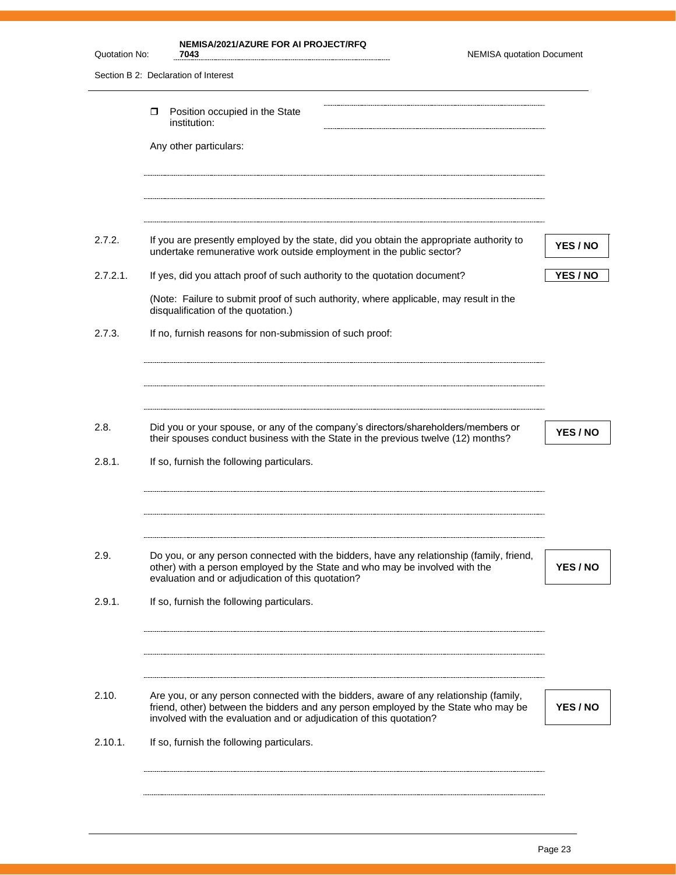| Quotation No: | <b>NEMISA/2021/AZURE FOR AI PROJECT/RFQ</b><br><b>NEMISA quotation Document</b><br>7043                                                                                                                                                            |          |
|---------------|----------------------------------------------------------------------------------------------------------------------------------------------------------------------------------------------------------------------------------------------------|----------|
|               | Section B 2: Declaration of Interest                                                                                                                                                                                                               |          |
|               | Position occupied in the State<br>□<br>institution:                                                                                                                                                                                                |          |
|               | Any other particulars:                                                                                                                                                                                                                             |          |
| 2.7.2.        | If you are presently employed by the state, did you obtain the appropriate authority to                                                                                                                                                            |          |
|               | undertake remunerative work outside employment in the public sector?                                                                                                                                                                               | YES / NO |
| $2.7.2.1$ .   | If yes, did you attach proof of such authority to the quotation document?                                                                                                                                                                          | YES / NO |
|               | (Note: Failure to submit proof of such authority, where applicable, may result in the<br>disqualification of the quotation.)                                                                                                                       |          |
| 2.7.3.        | If no, furnish reasons for non-submission of such proof:                                                                                                                                                                                           |          |
|               |                                                                                                                                                                                                                                                    |          |
| 2.8.          | Did you or your spouse, or any of the company's directors/shareholders/members or<br>their spouses conduct business with the State in the previous twelve (12) months?                                                                             | YES / NO |
| 2.8.1.        | If so, furnish the following particulars.                                                                                                                                                                                                          |          |
|               |                                                                                                                                                                                                                                                    |          |
| 2.9.          | Do you, or any person connected with the bidders, have any relationship (family, friend,<br>other) with a person employed by the State and who may be involved with the<br>evaluation and or adjudication of this quotation?                       | YES / NO |
| 2.9.1.        | If so, furnish the following particulars.                                                                                                                                                                                                          |          |
|               |                                                                                                                                                                                                                                                    |          |
|               |                                                                                                                                                                                                                                                    |          |
| 2.10.         | Are you, or any person connected with the bidders, aware of any relationship (family,<br>friend, other) between the bidders and any person employed by the State who may be<br>involved with the evaluation and or adjudication of this quotation? | YES / NO |
| 2.10.1.       | If so, furnish the following particulars.                                                                                                                                                                                                          |          |
|               |                                                                                                                                                                                                                                                    |          |
|               |                                                                                                                                                                                                                                                    |          |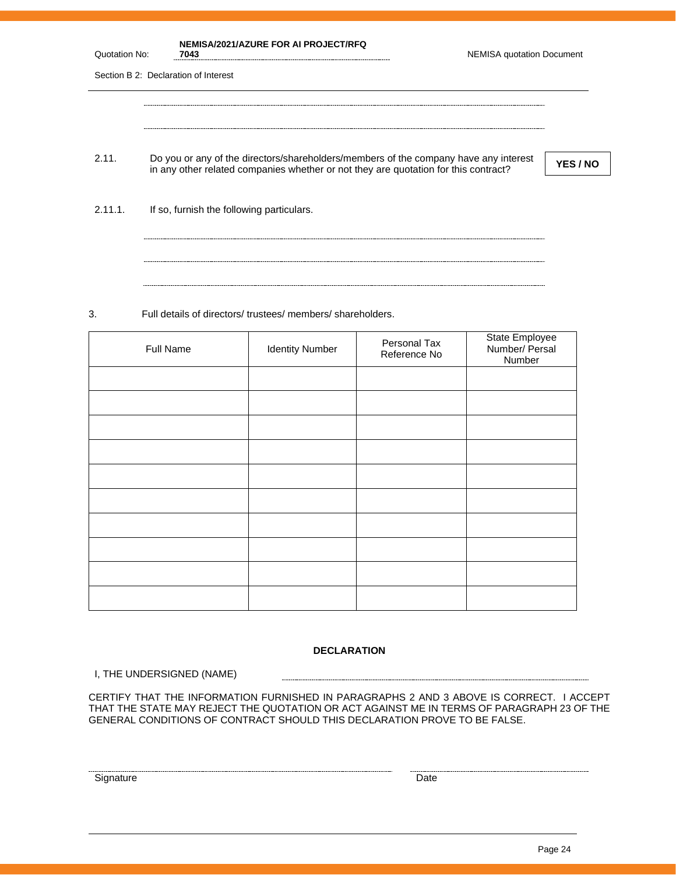| Quotation No: | NEMISA/2021/AZURE FOR AI PROJECT/RFQ<br>7043                                                                                                                                | <b>NEMISA quotation Document</b> |          |
|---------------|-----------------------------------------------------------------------------------------------------------------------------------------------------------------------------|----------------------------------|----------|
|               | Section B 2: Declaration of Interest                                                                                                                                        |                                  |          |
|               |                                                                                                                                                                             |                                  |          |
|               |                                                                                                                                                                             |                                  |          |
| 2.11.         | Do you or any of the directors/shareholders/members of the company have any interest<br>in any other related companies whether or not they are quotation for this contract? |                                  | YES / NO |
|               |                                                                                                                                                                             |                                  |          |
| 2.11.1        | If so, furnish the following particulars.                                                                                                                                   |                                  |          |
|               |                                                                                                                                                                             |                                  |          |
|               |                                                                                                                                                                             |                                  |          |

3. Full details of directors/ trustees/ members/ shareholders.

| Full Name | <b>Identity Number</b> | Personal Tax<br>Reference No | State Employee<br>Number/ Persal<br>Number |
|-----------|------------------------|------------------------------|--------------------------------------------|
|           |                        |                              |                                            |
|           |                        |                              |                                            |
|           |                        |                              |                                            |
|           |                        |                              |                                            |
|           |                        |                              |                                            |
|           |                        |                              |                                            |
|           |                        |                              |                                            |
|           |                        |                              |                                            |
|           |                        |                              |                                            |
|           |                        |                              |                                            |

#### **DECLARATION**

I, THE UNDERSIGNED (NAME)

CERTIFY THAT THE INFORMATION FURNISHED IN PARAGRAPHS 2 AND 3 ABOVE IS CORRECT. I ACCEPT THAT THE STATE MAY REJECT THE QUOTATION OR ACT AGAINST ME IN TERMS OF PARAGRAPH 23 OF THE GENERAL CONDITIONS OF CONTRACT SHOULD THIS DECLARATION PROVE TO BE FALSE.

Signature Date Date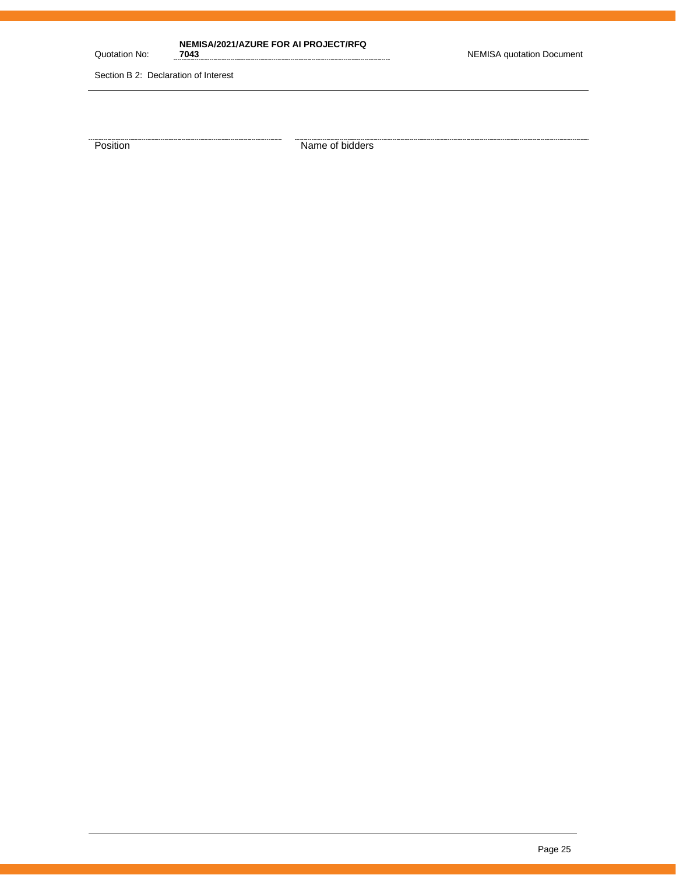Quotation No:

**NEMISA/2021/AZURE FOR AI PROJECT/RFQ** 

Section B 2: Declaration of Interest

**Position** Name of bidders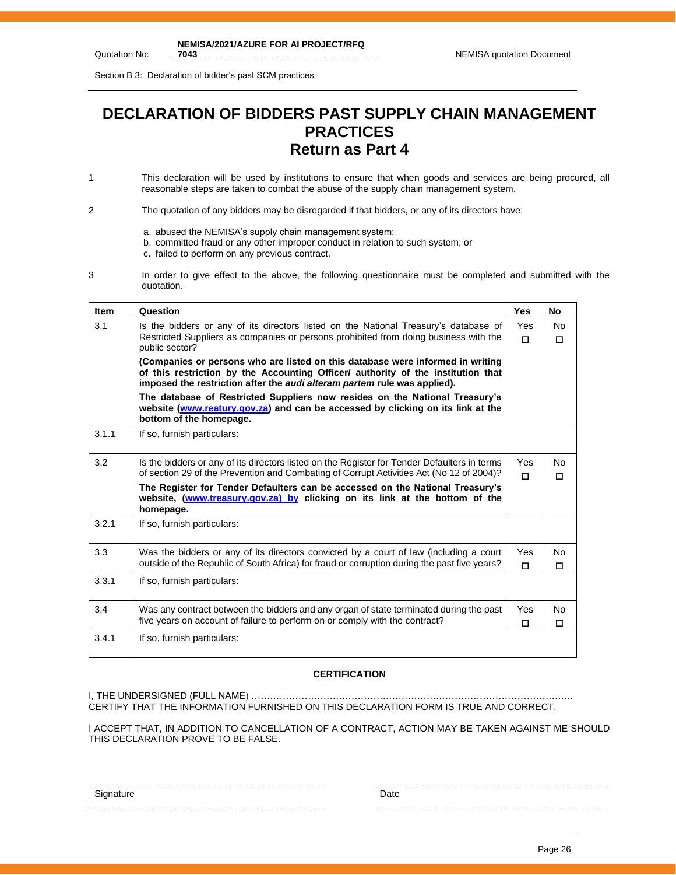Section B 3: Declaration of bidder's past SCM practices

## **DECLARATION OF BIDDERS PAST SUPPLY CHAIN MANAGEMENT PRACTICES Return as Part 4**

1 This declaration will be used by institutions to ensure that when goods and services are being procured, all reasonable steps are taken to combat the abuse of the supply chain management system.

2 The quotation of any bidders may be disregarded if that bidders, or any of its directors have:

- a. abused the NEMISA's supply chain management system;
- b. committed fraud or any other improper conduct in relation to such system; or
- c. failed to perform on any previous contract.
- 3 In order to give effect to the above, the following questionnaire must be completed and submitted with the quotation.

| <b>Item</b> | Question                                                                                                                                                                                                                                       | <b>Yes</b>    | <b>No</b>           |  |
|-------------|------------------------------------------------------------------------------------------------------------------------------------------------------------------------------------------------------------------------------------------------|---------------|---------------------|--|
| 3.1         | Is the bidders or any of its directors listed on the National Treasury's database of<br>Restricted Suppliers as companies or persons prohibited from doing business with the<br>public sector?                                                 | Yes<br>$\Box$ | <b>No</b><br>$\Box$ |  |
|             | (Companies or persons who are listed on this database were informed in writing<br>of this restriction by the Accounting Officer/ authority of the institution that<br>imposed the restriction after the audi alteram partem rule was applied). |               |                     |  |
|             | The database of Restricted Suppliers now resides on the National Treasury's<br>website (www.reatury.gov.za) and can be accessed by clicking on its link at the<br>bottom of the homepage.                                                      |               |                     |  |
| 3.1.1       | If so, furnish particulars:                                                                                                                                                                                                                    |               |                     |  |
| 3.2         | Is the bidders or any of its directors listed on the Register for Tender Defaulters in terms<br>of section 29 of the Prevention and Combating of Corrupt Activities Act (No 12 of 2004)?                                                       | Yes<br>П      | No<br>п             |  |
|             | The Register for Tender Defaulters can be accessed on the National Treasury's<br>website, (www.treasury.gov.za) by clicking on its link at the bottom of the<br>homepage.                                                                      |               |                     |  |
| 3.2.1       | If so, furnish particulars:                                                                                                                                                                                                                    |               |                     |  |
| 3.3         | Was the bidders or any of its directors convicted by a court of law (including a court<br>outside of the Republic of South Africa) for fraud or corruption during the past five years?                                                         | Yes<br>П      | No<br>п             |  |
| 3.3.1       | If so, furnish particulars:                                                                                                                                                                                                                    |               |                     |  |
| 3.4         | Was any contract between the bidders and any organ of state terminated during the past<br>five years on account of failure to perform on or comply with the contract?                                                                          | Yes<br>п      | No<br>П             |  |
| 3.4.1       | If so, furnish particulars:                                                                                                                                                                                                                    |               |                     |  |

#### **CERTIFICATION**

I, THE UNDERSIGNED (FULL NAME) …………………………………………………………………………………………. CERTIFY THAT THE INFORMATION FURNISHED ON THIS DECLARATION FORM IS TRUE AND CORRECT.

I ACCEPT THAT, IN ADDITION TO CANCELLATION OF A CONTRACT, ACTION MAY BE TAKEN AGAINST ME SHOULD THIS DECLARATION PROVE TO BE FALSE.

Signature Date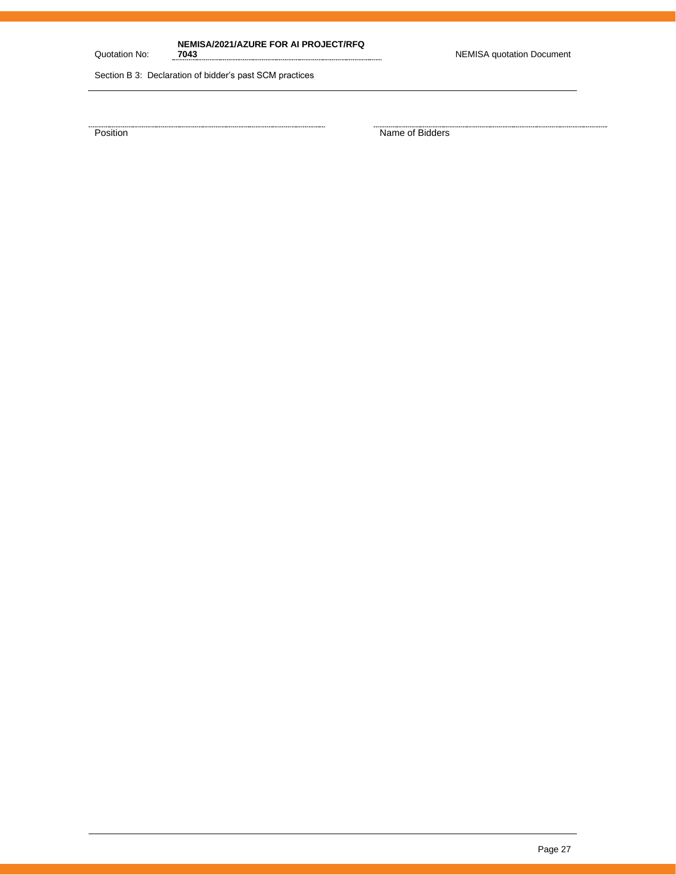Quotation No:

**NEMISA/2021/AZURE FOR AI PROJECT/RFQ** 

**7043** NEMISA quotation Document

Section B 3: Declaration of bidder's past SCM practices

Position Name of Bidders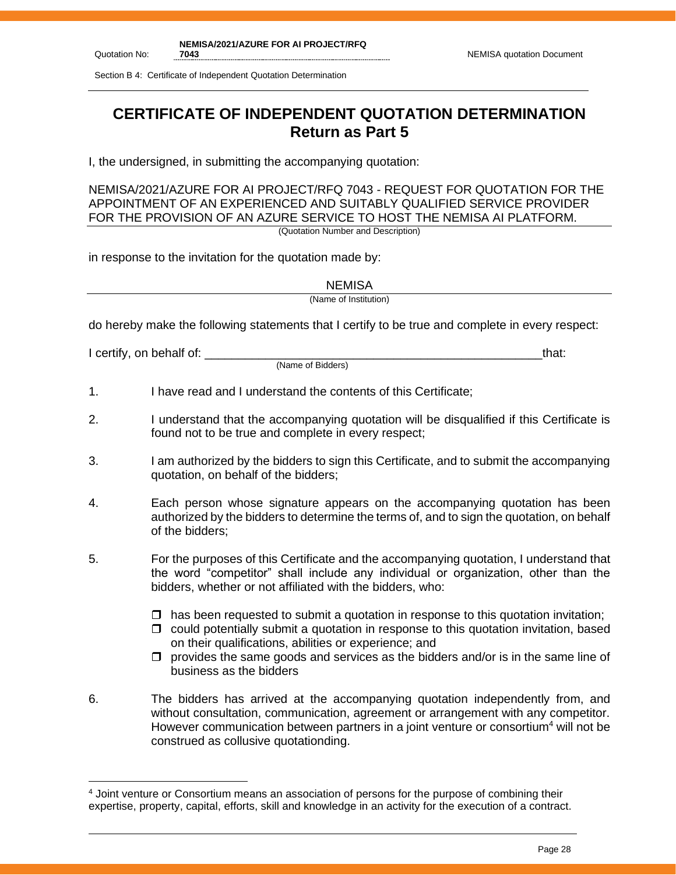Section B 4: Certificate of Independent Quotation Determination

## **CERTIFICATE OF INDEPENDENT QUOTATION DETERMINATION Return as Part 5**

I, the undersigned, in submitting the accompanying quotation:

NEMISA/2021/AZURE FOR AI PROJECT/RFQ 7043 - REQUEST FOR QUOTATION FOR THE APPOINTMENT OF AN EXPERIENCED AND SUITABLY QUALIFIED SERVICE PROVIDER FOR THE PROVISION OF AN AZURE SERVICE TO HOST THE NEMISA AI PLATFORM. (Quotation Number and Description)

in response to the invitation for the quotation made by:

**NEMISA** 

(Name of Institution)

do hereby make the following statements that I certify to be true and complete in every respect:

I certify, on behalf of: the state of the state of the state of the state of the state of the state of the stat

(Name of Bidders)

1. I have read and I understand the contents of this Certificate;

- 2. I understand that the accompanying quotation will be disqualified if this Certificate is found not to be true and complete in every respect;
- 3. I am authorized by the bidders to sign this Certificate, and to submit the accompanying quotation, on behalf of the bidders;
- 4. Each person whose signature appears on the accompanying quotation has been authorized by the bidders to determine the terms of, and to sign the quotation, on behalf of the bidders;
- 5. For the purposes of this Certificate and the accompanying quotation, I understand that the word "competitor" shall include any individual or organization, other than the bidders, whether or not affiliated with the bidders, who:
	- $\Box$  has been requested to submit a quotation in response to this quotation invitation;
	- $\Box$  could potentially submit a quotation in response to this quotation invitation, based on their qualifications, abilities or experience; and
	- $\Box$  provides the same goods and services as the bidders and/or is in the same line of business as the bidders
- 6. The bidders has arrived at the accompanying quotation independently from, and without consultation, communication, agreement or arrangement with any competitor. However communication between partners in a joint venture or consortium<sup>4</sup> will not be construed as collusive quotationding.

<sup>4</sup> Joint venture or Consortium means an association of persons for the purpose of combining their expertise, property, capital, efforts, skill and knowledge in an activity for the execution of a contract.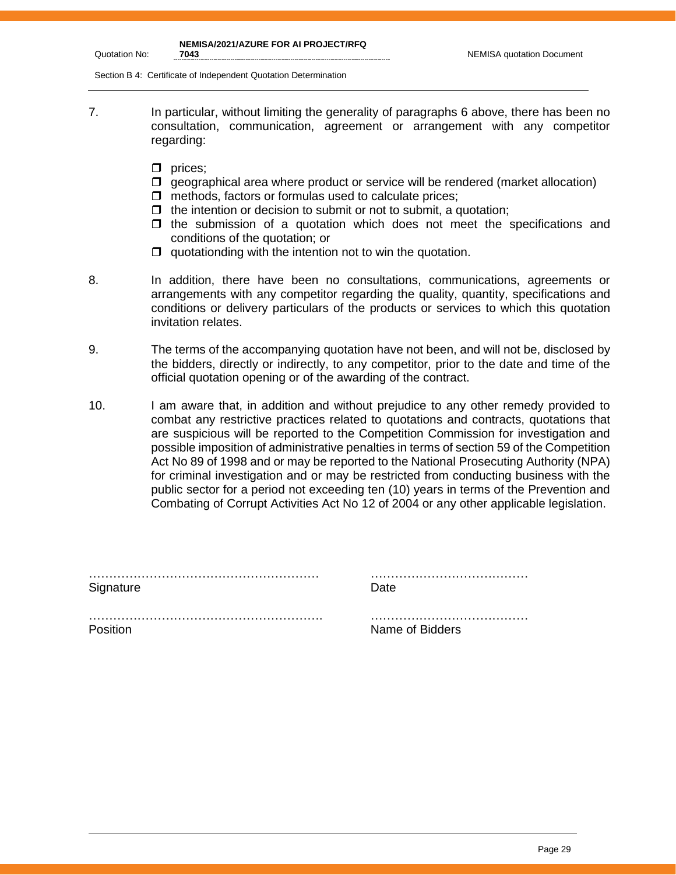| NEMISA/2021/AZURE FOR AI PROJECT/RFQ |
|--------------------------------------|
|                                      |

Quotation No:

Section B 4: Certificate of Independent Quotation Determination

- 7. In particular, without limiting the generality of paragraphs 6 above, there has been no consultation, communication, agreement or arrangement with any competitor regarding:
	- $\Box$  prices;
	- $\Box$  geographical area where product or service will be rendered (market allocation)
	- $\Box$  methods, factors or formulas used to calculate prices;
	- $\Box$  the intention or decision to submit or not to submit, a quotation;
	- $\Box$  the submission of a quotation which does not meet the specifications and conditions of the quotation; or
	- $\Box$  quotationding with the intention not to win the quotation.

8. In addition, there have been no consultations, communications, agreements or arrangements with any competitor regarding the quality, quantity, specifications and conditions or delivery particulars of the products or services to which this quotation invitation relates.

- 9. The terms of the accompanying quotation have not been, and will not be, disclosed by the bidders, directly or indirectly, to any competitor, prior to the date and time of the official quotation opening or of the awarding of the contract.
- 10. I am aware that, in addition and without prejudice to any other remedy provided to combat any restrictive practices related to quotations and contracts, quotations that are suspicious will be reported to the Competition Commission for investigation and possible imposition of administrative penalties in terms of section 59 of the Competition Act No 89 of 1998 and or may be reported to the National Prosecuting Authority (NPA) for criminal investigation and or may be restricted from conducting business with the public sector for a period not exceeding ten (10) years in terms of the Prevention and Combating of Corrupt Activities Act No 12 of 2004 or any other applicable legislation.

| Signature | Date.           |
|-----------|-----------------|
|           |                 |
| Position  | Name of Bidders |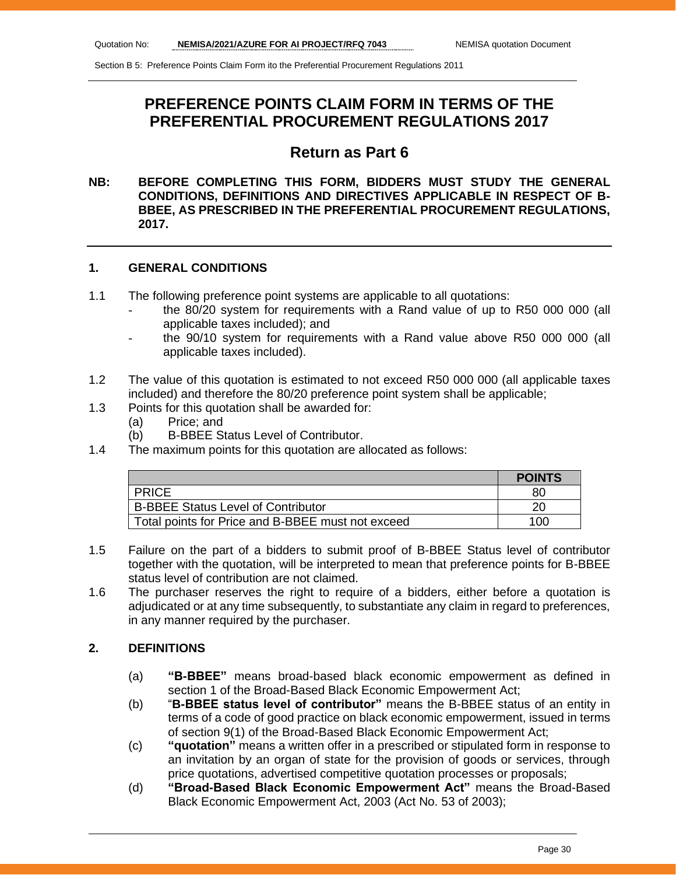## **PREFERENCE POINTS CLAIM FORM IN TERMS OF THE PREFERENTIAL PROCUREMENT REGULATIONS 2017**

## **Return as Part 6**

## **NB: BEFORE COMPLETING THIS FORM, BIDDERS MUST STUDY THE GENERAL CONDITIONS, DEFINITIONS AND DIRECTIVES APPLICABLE IN RESPECT OF B-BBEE, AS PRESCRIBED IN THE PREFERENTIAL PROCUREMENT REGULATIONS, 2017.**

## **1. GENERAL CONDITIONS**

- 1.1 The following preference point systems are applicable to all quotations:
	- the 80/20 system for requirements with a Rand value of up to R50 000 000 (all applicable taxes included); and
	- the 90/10 system for requirements with a Rand value above R50 000 000 (all applicable taxes included).
- 1.2 The value of this quotation is estimated to not exceed R50 000 000 (all applicable taxes included) and therefore the 80/20 preference point system shall be applicable;
- 1.3 Points for this quotation shall be awarded for:
	- (a) Price; and
	- (b) B-BBEE Status Level of Contributor.
- 1.4 The maximum points for this quotation are allocated as follows:

|                                                   | <b>POINTS</b> |
|---------------------------------------------------|---------------|
| <b>PRICE</b>                                      | 80            |
| <b>B-BBEE Status Level of Contributor</b>         | 20            |
| Total points for Price and B-BBEE must not exceed | 100.          |

- 1.5 Failure on the part of a bidders to submit proof of B-BBEE Status level of contributor together with the quotation, will be interpreted to mean that preference points for B-BBEE status level of contribution are not claimed.
- 1.6 The purchaser reserves the right to require of a bidders, either before a quotation is adjudicated or at any time subsequently, to substantiate any claim in regard to preferences, in any manner required by the purchaser.

## **2. DEFINITIONS**

- (a) **"B-BBEE"** means broad-based black economic empowerment as defined in section 1 of the Broad-Based Black Economic Empowerment Act;
- (b) "**B-BBEE status level of contributor"** means the B-BBEE status of an entity in terms of a code of good practice on black economic empowerment, issued in terms of section 9(1) of the Broad-Based Black Economic Empowerment Act;
- (c) **"quotation"** means a written offer in a prescribed or stipulated form in response to an invitation by an organ of state for the provision of goods or services, through price quotations, advertised competitive quotation processes or proposals;
- (d) **"Broad-Based Black Economic Empowerment Act"** means the Broad-Based Black Economic Empowerment Act, 2003 (Act No. 53 of 2003);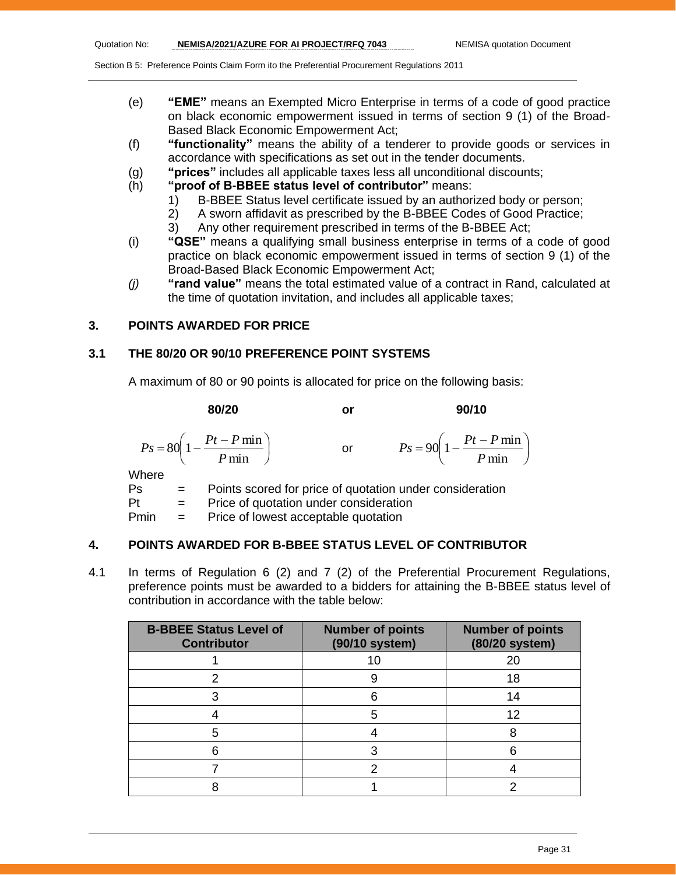- (e) **"EME"** means an Exempted Micro Enterprise in terms of a code of good practice on black economic empowerment issued in terms of section 9 (1) of the Broad-Based Black Economic Empowerment Act;
- (f) **"functionality"** means the ability of a tenderer to provide goods or services in accordance with specifications as set out in the tender documents.
- (g) **"prices"** includes all applicable taxes less all unconditional discounts;
- (h) **"proof of B-BBEE status level of contributor"** means:
	- 1) B-BBEE Status level certificate issued by an authorized body or person;
	- 2) A sworn affidavit as prescribed by the B-BBEE Codes of Good Practice;
	- 3) Any other requirement prescribed in terms of the B-BBEE Act;
- (i) **"QSE"** means a qualifying small business enterprise in terms of a code of good practice on black economic empowerment issued in terms of section 9 (1) of the Broad-Based Black Economic Empowerment Act;
- *(j)* **"rand value"** means the total estimated value of a contract in Rand, calculated at the time of quotation invitation, and includes all applicable taxes;

#### **3. POINTS AWARDED FOR PRICE**

#### **3.1 THE 80/20 OR 90/10 PREFERENCE POINT SYSTEMS**

A maximum of 80 or 90 points is allocated for price on the following basis:

**80/20 or 90/10**  $\overline{\phantom{a}}$ J  $\left(1-\frac{Pt-P\min}{R}\right)$  $\setminus$  $=80\left(1-\frac{Pt-}{\right)$ min  $80\left(1-\frac{Pt-P\min}{\sum_{i=1}^{n}H_i}\right)$ *P*  $P_s = 80 \left( 1 - \frac{Pt - P}{r} \right)$ or  $\overline{\phantom{a}}$ J  $\left(1-\frac{Pt-P\min}{R}\right)$  $\setminus$  $= 90 \left( 1 - \frac{Pt - }{F} \right)$ min  $90\left(1-\frac{Pt-P\min}{\sum_{i=1}^{n}H_i}\right)$ *P*  $P_s = 90 \left( 1 - \frac{Pt - P}{r} \right)$ **Where** Ps = Points scored for price of quotation under consideration  $Pt =$  Price of quotation under consideration Pmin = Price of lowest acceptable quotation

## **4. POINTS AWARDED FOR B-BBEE STATUS LEVEL OF CONTRIBUTOR**

4.1 In terms of Regulation 6 (2) and 7 (2) of the Preferential Procurement Regulations, preference points must be awarded to a bidders for attaining the B-BBEE status level of contribution in accordance with the table below:

| <b>B-BBEE Status Level of</b><br><b>Contributor</b> | <b>Number of points</b><br>(90/10 system) | <b>Number of points</b><br>(80/20 system) |
|-----------------------------------------------------|-------------------------------------------|-------------------------------------------|
|                                                     | 10                                        | 20                                        |
|                                                     |                                           | 18                                        |
|                                                     |                                           | 14                                        |
|                                                     |                                           | 12                                        |
| 5                                                   |                                           |                                           |
|                                                     |                                           |                                           |
|                                                     |                                           |                                           |
|                                                     |                                           |                                           |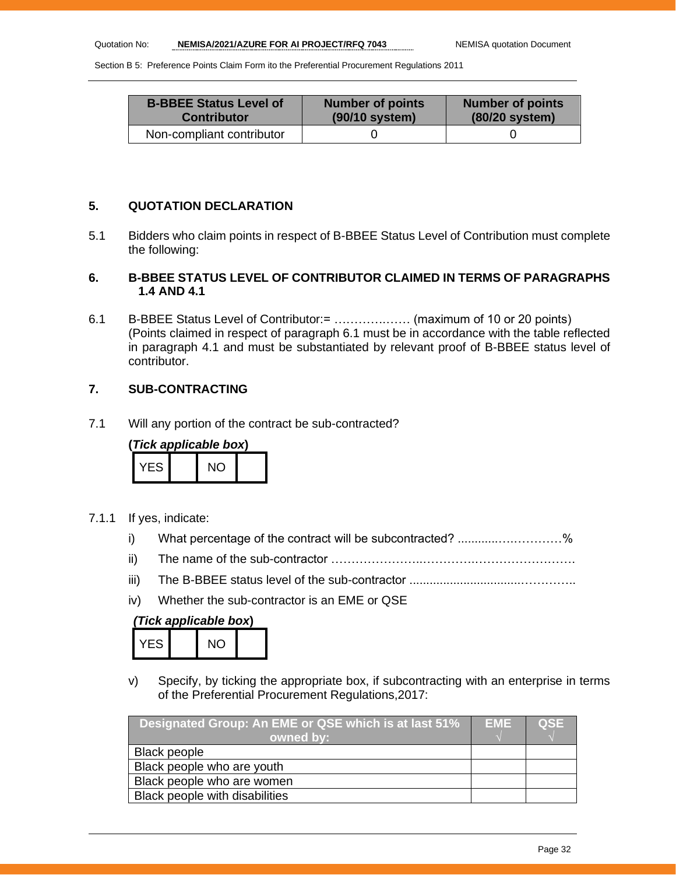| <b>B-BBEE Status Level of</b> | <b>Number of points</b> | <b>Number of points</b> |
|-------------------------------|-------------------------|-------------------------|
| <b>Contributor</b>            | (90/10 system)          | (80/20 system)          |
| Non-compliant contributor     |                         |                         |

## **5. QUOTATION DECLARATION**

5.1 Bidders who claim points in respect of B-BBEE Status Level of Contribution must complete the following:

## **6. B-BBEE STATUS LEVEL OF CONTRIBUTOR CLAIMED IN TERMS OF PARAGRAPHS 1.4 AND 4.1**

6.1 B-BBEE Status Level of Contributor:= ………….…… (maximum of 10 or 20 points) (Points claimed in respect of paragraph 6.1 must be in accordance with the table reflected in paragraph 4.1 and must be substantiated by relevant proof of B-BBEE status level of contributor.

## **7. SUB-CONTRACTING**

7.1 Will any portion of the contract be sub-contracted?

| (Tick applicable box) |  |     |  |
|-----------------------|--|-----|--|
| YFS.                  |  | NO. |  |

- 7.1.1 If yes, indicate:
	- i) What percentage of the contract will be subcontracted? ............….…………%
	- ii) The name of the sub-contractor …………………..………….…………………….
	- iii) The B-BBEE status level of the sub-contractor .................................…………..
	- iv) Whether the sub-contractor is an EME or QSE

## *(Tick applicable box***)**

| -5 - | ۱ſ<br>٠ |  |
|------|---------|--|
|      |         |  |

v) Specify, by ticking the appropriate box, if subcontracting with an enterprise in terms of the Preferential Procurement Regulations,2017:

| Designated Group: An EME or QSE which is at last 51% | <b>EME</b> | <b>QSE</b> |
|------------------------------------------------------|------------|------------|
| owned by:                                            |            |            |
| <b>Black people</b>                                  |            |            |
| Black people who are youth                           |            |            |
| Black people who are women                           |            |            |
| Black people with disabilities                       |            |            |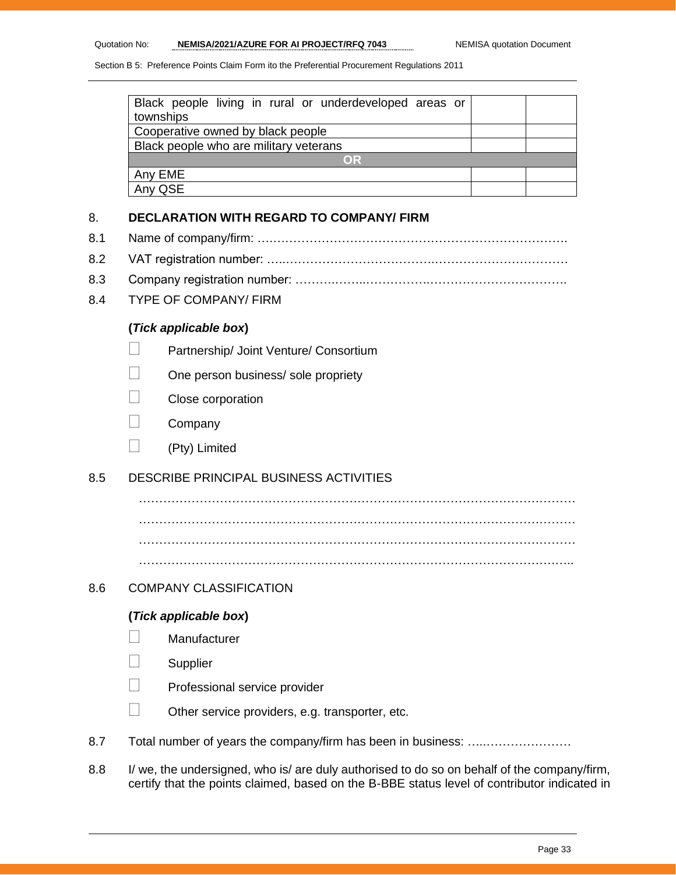| Black people living in rural or underdeveloped areas or<br>townships |  |
|----------------------------------------------------------------------|--|
| Cooperative owned by black people                                    |  |
| Black people who are military veterans                               |  |
| <b>OR</b>                                                            |  |
| Any EME                                                              |  |
| Any QSE                                                              |  |

#### 8. **DECLARATION WITH REGARD TO COMPANY/ FIRM**

- 8.1 Name of company/firm: ….……………………………………………………………….
- 8.2 VAT registration number: …..……………………………….……………………………
- 8.3 Company registration number: ……….……..…………….…………………………….
- 8.4 TYPE OF COMPANY/ FIRM

## **(***Tick applicable box***)**

- **Partnership/ Joint Venture/ Consortium**
- $\Box$  One person business/ sole propriety
- Close corporation
- Company
- (Pty) Limited

## 8.5 DESCRIBE PRINCIPAL BUSINESS ACTIVITIES

……………………………………………………………………………………………… ……………………………………………………………………………………………… ………………………………………………………………………………………….…..

## 8.6 COMPANY CLASSIFICATION

#### **(***Tick applicable box***)**

- **Manufacturer**
- **Supplier**
- Professional service provider
- $\Box$  Other service providers, e.g. transporter, etc.
- 8.7 Total number of years the company/firm has been in business: ………………………
- 8.8 I/ we, the undersigned, who is/ are duly authorised to do so on behalf of the company/firm, certify that the points claimed, based on the B-BBE status level of contributor indicated in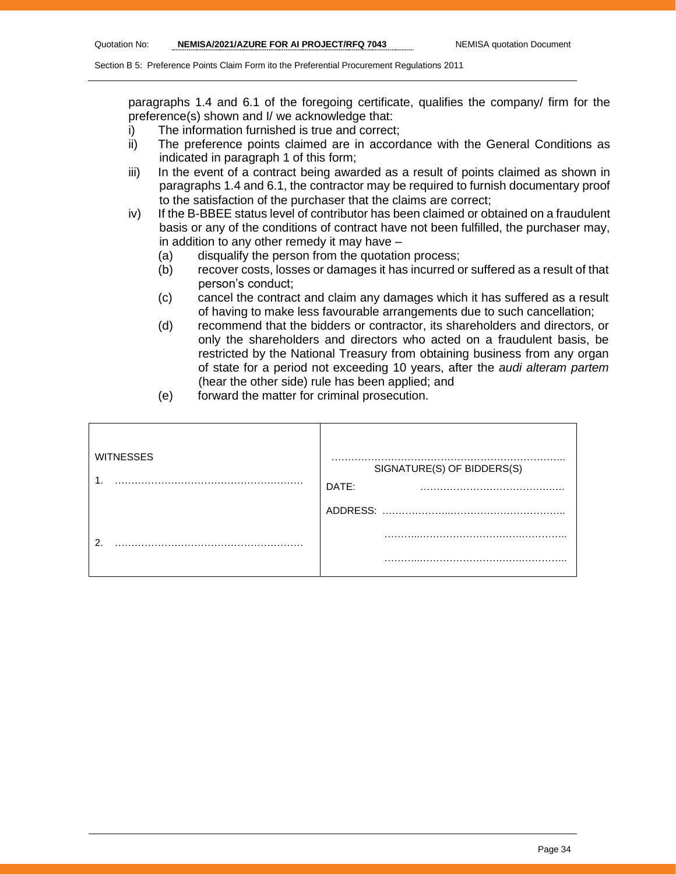paragraphs 1.4 and 6.1 of the foregoing certificate, qualifies the company/ firm for the preference(s) shown and I/ we acknowledge that:

- i) The information furnished is true and correct;
- ii) The preference points claimed are in accordance with the General Conditions as indicated in paragraph 1 of this form;
- iii) In the event of a contract being awarded as a result of points claimed as shown in paragraphs 1.4 and 6.1, the contractor may be required to furnish documentary proof to the satisfaction of the purchaser that the claims are correct;
- iv) If the B-BBEE status level of contributor has been claimed or obtained on a fraudulent basis or any of the conditions of contract have not been fulfilled, the purchaser may, in addition to any other remedy it may have –
	- (a) disqualify the person from the quotation process;
	- (b) recover costs, losses or damages it has incurred or suffered as a result of that person's conduct;
	- (c) cancel the contract and claim any damages which it has suffered as a result of having to make less favourable arrangements due to such cancellation;
	- (d) recommend that the bidders or contractor, its shareholders and directors, or only the shareholders and directors who acted on a fraudulent basis, be restricted by the National Treasury from obtaining business from any organ of state for a period not exceeding 10 years, after the *audi alteram partem* (hear the other side) rule has been applied; and
	- (e) forward the matter for criminal prosecution.

| <b>WITNESSES</b> | . .<br>SIGNATURE(S) OF BIDDERS(S) |
|------------------|-----------------------------------|
|                  | DATE:                             |
|                  | ADDRESS:                          |
| ◠                | .                                 |
|                  | .<br>                             |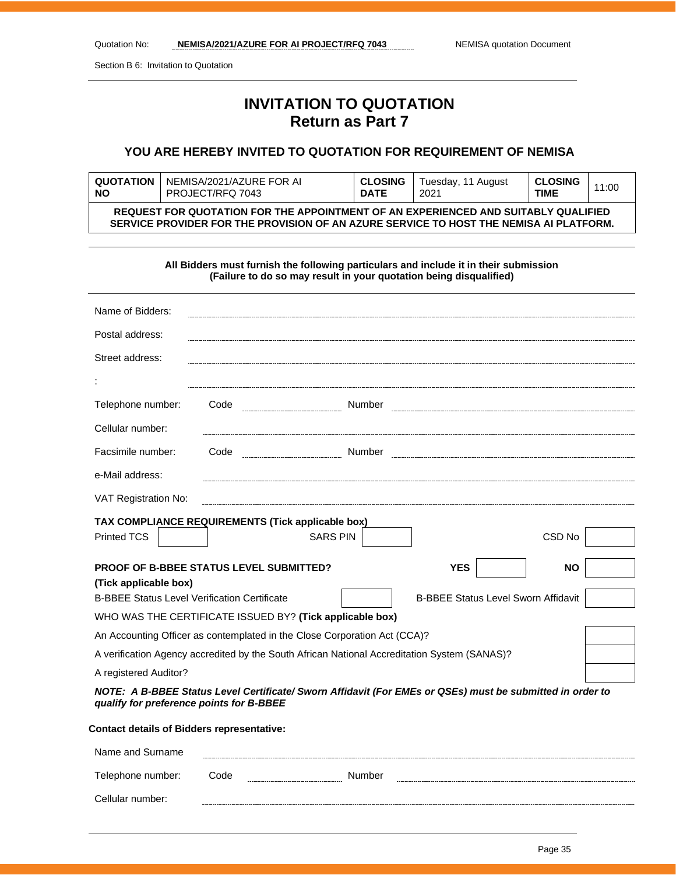Section B 6: Invitation to Quotation

Cellular number:

## **INVITATION TO QUOTATION Return as Part 7**

## **YOU ARE HEREBY INVITED TO QUOTATION FOR REQUIREMENT OF NEMISA**

| <b>QUOTATION</b> | NEMISA/2021/AZURE FOR AI                                                                                                                                                     | <b>CLOSING</b> | Tuesday, 11 August | <b>CLOSING</b> | 11:00 |
|------------------|------------------------------------------------------------------------------------------------------------------------------------------------------------------------------|----------------|--------------------|----------------|-------|
| <b>NO</b>        | PROJECT/RFQ 7043                                                                                                                                                             | <b>DATE</b>    | 2021               | <b>TIME</b>    |       |
|                  | REQUEST FOR QUOTATION FOR THE APPOINTMENT OF AN EXPERIENCED AND SUITABLY QUALIFIED<br>SERVICE PROVIDER FOR THE PROVISION OF AN AZURE SERVICE TO HOST THE NEMISA AI PLATFORM. |                |                    |                |       |

**All Bidders must furnish the following particulars and include it in their submission (Failure to do so may result in your quotation being disqualified)**

| Name of Bidders:                                    |      |                                                                                              |                                                                                                           |           |
|-----------------------------------------------------|------|----------------------------------------------------------------------------------------------|-----------------------------------------------------------------------------------------------------------|-----------|
| Postal address:                                     |      |                                                                                              |                                                                                                           |           |
| Street address:                                     |      |                                                                                              |                                                                                                           |           |
|                                                     |      |                                                                                              |                                                                                                           |           |
| Telephone number:                                   | Code | Number                                                                                       |                                                                                                           |           |
| Cellular number:                                    |      |                                                                                              |                                                                                                           |           |
| Facsimile number:                                   | Code |                                                                                              |                                                                                                           |           |
| e-Mail address:                                     |      |                                                                                              |                                                                                                           |           |
| VAT Registration No:                                |      |                                                                                              |                                                                                                           |           |
| TAX COMPLIANCE REQUIREMENTS (Tick applicable box)   |      |                                                                                              |                                                                                                           |           |
| <b>Printed TCS</b>                                  |      | <b>SARS PIN</b>                                                                              |                                                                                                           | CSD No    |
|                                                     |      |                                                                                              |                                                                                                           |           |
| <b>PROOF OF B-BBEE STATUS LEVEL SUBMITTED?</b>      |      |                                                                                              | <b>YES</b>                                                                                                | <b>NO</b> |
| (Tick applicable box)                               |      |                                                                                              |                                                                                                           |           |
| <b>B-BBEE Status Level Verification Certificate</b> |      |                                                                                              | <b>B-BBEE Status Level Sworn Affidavit</b>                                                                |           |
|                                                     |      | WHO WAS THE CERTIFICATE ISSUED BY? (Tick applicable box)                                     |                                                                                                           |           |
|                                                     |      | An Accounting Officer as contemplated in the Close Corporation Act (CCA)?                    |                                                                                                           |           |
|                                                     |      | A verification Agency accredited by the South African National Accreditation System (SANAS)? |                                                                                                           |           |
| A registered Auditor?                               |      |                                                                                              |                                                                                                           |           |
| qualify for preference points for B-BBEE            |      |                                                                                              | NOTE: A B-BBEE Status Level Certificate/ Sworn Affidavit (For EMEs or QSEs) must be submitted in order to |           |
| <b>Contact details of Bidders representative:</b>   |      |                                                                                              |                                                                                                           |           |
| Name and Surname                                    |      |                                                                                              |                                                                                                           |           |
| Telephone number:                                   | Code | Number                                                                                       |                                                                                                           |           |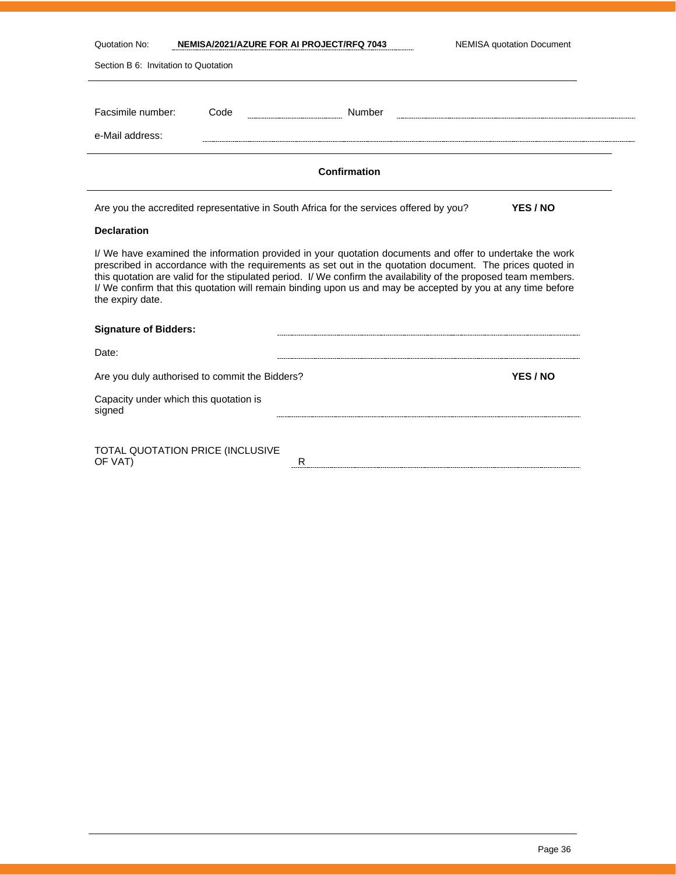| Quotation No:                        |      | NEMISA/2021/AZURE FOR AI PROJECT/RFQ 7043                                                                                                                                                                                                                                                                                                                                                                                                                | <b>NEMISA quotation Document</b> |
|--------------------------------------|------|----------------------------------------------------------------------------------------------------------------------------------------------------------------------------------------------------------------------------------------------------------------------------------------------------------------------------------------------------------------------------------------------------------------------------------------------------------|----------------------------------|
| Section B 6: Invitation to Quotation |      |                                                                                                                                                                                                                                                                                                                                                                                                                                                          |                                  |
|                                      |      |                                                                                                                                                                                                                                                                                                                                                                                                                                                          |                                  |
| Facsimile number:                    | Code | Number                                                                                                                                                                                                                                                                                                                                                                                                                                                   |                                  |
| e-Mail address:                      |      |                                                                                                                                                                                                                                                                                                                                                                                                                                                          |                                  |
|                                      |      |                                                                                                                                                                                                                                                                                                                                                                                                                                                          |                                  |
|                                      |      | Confirmation                                                                                                                                                                                                                                                                                                                                                                                                                                             |                                  |
|                                      |      | Are you the accredited representative in South Africa for the services offered by you?                                                                                                                                                                                                                                                                                                                                                                   | YES / NO                         |
| <b>Declaration</b>                   |      |                                                                                                                                                                                                                                                                                                                                                                                                                                                          |                                  |
| the expiry date.                     |      | I/ We have examined the information provided in your quotation documents and offer to undertake the work<br>prescribed in accordance with the requirements as set out in the quotation document. The prices quoted in<br>this quotation are valid for the stipulated period. I/ We confirm the availability of the proposed team members.<br>I/ We confirm that this quotation will remain binding upon us and may be accepted by you at any time before |                                  |

| <b>Signature of Bidders:</b>                     |   |          |
|--------------------------------------------------|---|----------|
| Date:                                            |   |          |
| Are you duly authorised to commit the Bidders?   |   | YES / NO |
| Capacity under which this quotation is<br>signed |   |          |
| TOTAL QUOTATION PRICE (INCLUSIVE<br>OF VAT)      | R |          |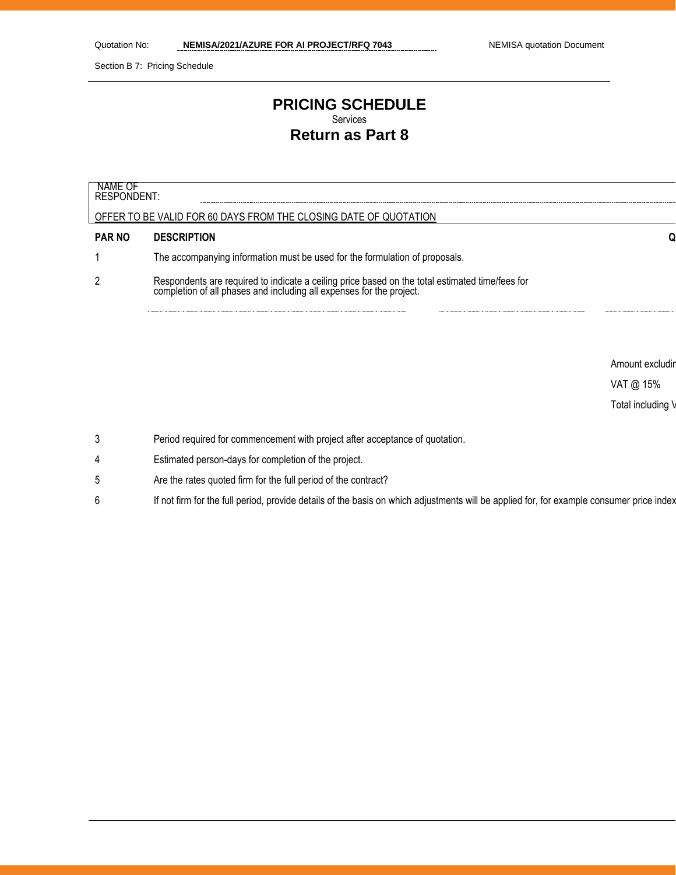VAT @ 15% Total including \

Section B 7: Pricing Schedule

## **PRICING SCHEDULE** Services **Return as Part 8**

| NAME OF<br>RESPONDENT: |                                                                                                                                                                      |                 |
|------------------------|----------------------------------------------------------------------------------------------------------------------------------------------------------------------|-----------------|
|                        | OFFER TO BE VALID FOR 60 DAYS FROM THE CLOSING DATE OF QUOTATION                                                                                                     |                 |
| <b>PAR NO</b>          | <b>DESCRIPTION</b>                                                                                                                                                   |                 |
|                        | The accompanying information must be used for the formulation of proposals.                                                                                          |                 |
| 2                      | Respondents are required to indicate a ceiling price based on the total estimated time/fees for completion of all phases and including all expenses for the project. |                 |
|                        |                                                                                                                                                                      |                 |
|                        |                                                                                                                                                                      |                 |
|                        |                                                                                                                                                                      | Amount excludir |

3 Period required for commencement with project after acceptance of quotation.

- 4 Estimated person-days for completion of the project.
- 5 Are the rates quoted firm for the full period of the contract?
- 6 If not firm for the full period, provide details of the basis on which adjustments will be applied for, for example consumer price index